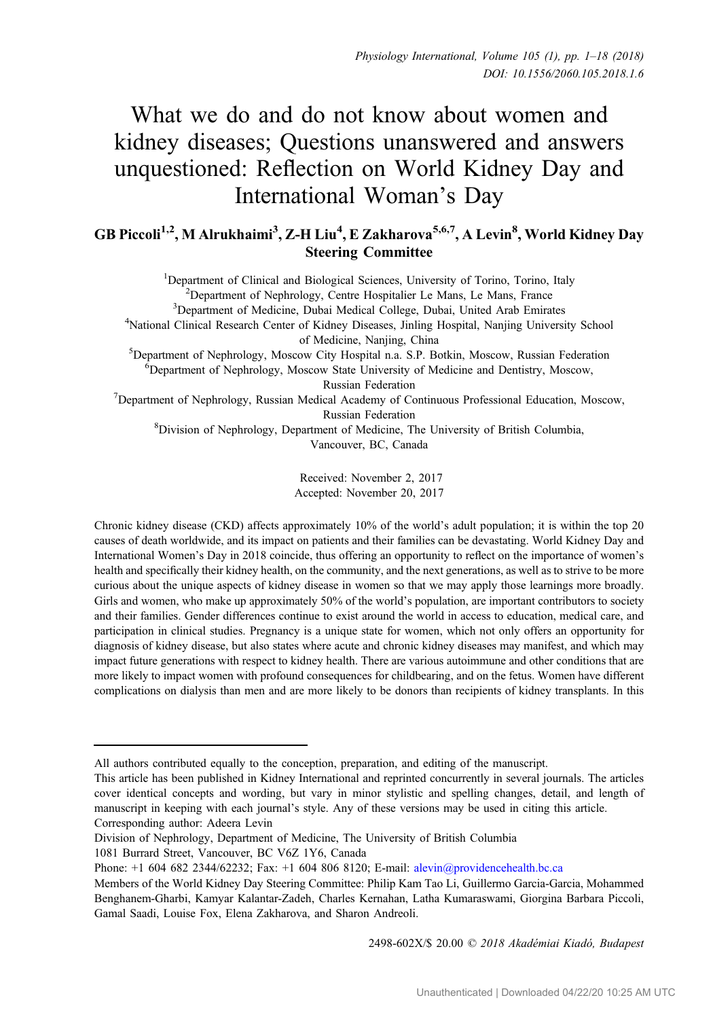# What we do and do not know about women and kidney diseases; Questions unanswered and answers unquestioned: Reflection on World Kidney Day and International Woman's Day

# GB Piccoli<sup>1,2</sup>, M Alrukhaimi<sup>3</sup>, Z-H Liu<sup>4</sup>, E Zakharova<sup>5,6,7</sup>, A Levin<sup>8</sup>, World Kidney Day Steering Committee

<sup>1</sup>Department of Clinical and Biological Sciences, University of Torino, Torino, Italy <sup>2</sup>Department of Nephrology, Centre Hospitalier Le Mans, Le Mans, France <sup>2</sup>Department of Nephrology, Centre Hospitalier Le Mans, Le Mans, France <sup>3</sup>Department of Medicine, Dubai Medical College, Dubai, United Arab Emirates <sup>2</sup> Department of Medicine, Dubai Medical College, Dubai, United Arab Emirates<br><sup>4</sup>National Clinical Research Center of Kidney Diseases, Jinling Hospital, Nanjing University School of Medicine, Nanjing, China<br><sup>5</sup> Department of Nephrology, Moscow City Hospital n.a. S.P. B Department of Nephrology, Moscow City Hospital n.a. S.P. Botkin, Moscow, Russian Federation 6 Nephrology, Moscow, State University of Medicine and Dentistry, Moscow <sup>6</sup>Department of Nephrology, Moscow State University of Medicine and Dentistry, Moscow, Russian Federation<br><sup>7</sup>Department of Nephrology, Russian Medical Academy of Continuous Professional Education, Moscow, Russian Federation<br><sup>8</sup>Division of Nephrology, Department of Medicine, The University of British Columbia,

Vancouver, BC, Canada

Received: November 2, 2017 Accepted: November 20, 2017

Chronic kidney disease (CKD) affects approximately 10% of the world's adult population; it is within the top 20 causes of death worldwide, and its impact on patients and their families can be devastating. World Kidney Day and International Women's Day in 2018 coincide, thus offering an opportunity to reflect on the importance of women's health and specifically their kidney health, on the community, and the next generations, as well as to strive to be more curious about the unique aspects of kidney disease in women so that we may apply those learnings more broadly. Girls and women, who make up approximately 50% of the world's population, are important contributors to society and their families. Gender differences continue to exist around the world in access to education, medical care, and participation in clinical studies. Pregnancy is a unique state for women, which not only offers an opportunity for diagnosis of kidney disease, but also states where acute and chronic kidney diseases may manifest, and which may impact future generations with respect to kidney health. There are various autoimmune and other conditions that are more likely to impact women with profound consequences for childbearing, and on the fetus. Women have different complications on dialysis than men and are more likely to be donors than recipients of kidney transplants. In this

2498-602X/\$ 20.00 © 2018 Akadémiai Kiadó, Budapest

All authors contributed equally to the conception, preparation, and editing of the manuscript.

This article has been published in Kidney International and reprinted concurrently in several journals. The articles cover identical concepts and wording, but vary in minor stylistic and spelling changes, detail, and length of manuscript in keeping with each journal's style. Any of these versions may be used in citing this article. Corresponding author: Adeera Levin

Division of Nephrology, Department of Medicine, The University of British Columbia

<sup>1081</sup> Burrard Street, Vancouver, BC V6Z 1Y6, Canada

Phone: +1 604 682 2344/62232; Fax: +1 604 806 8120; E-mail: [alevin@providencehealth.bc.ca](mailto:alevin@providencehealth.bc.ca)

Members of the World Kidney Day Steering Committee: Philip Kam Tao Li, Guillermo Garcia-Garcia, Mohammed Benghanem-Gharbi, Kamyar Kalantar-Zadeh, Charles Kernahan, Latha Kumaraswami, Giorgina Barbara Piccoli, Gamal Saadi, Louise Fox, Elena Zakharova, and Sharon Andreoli.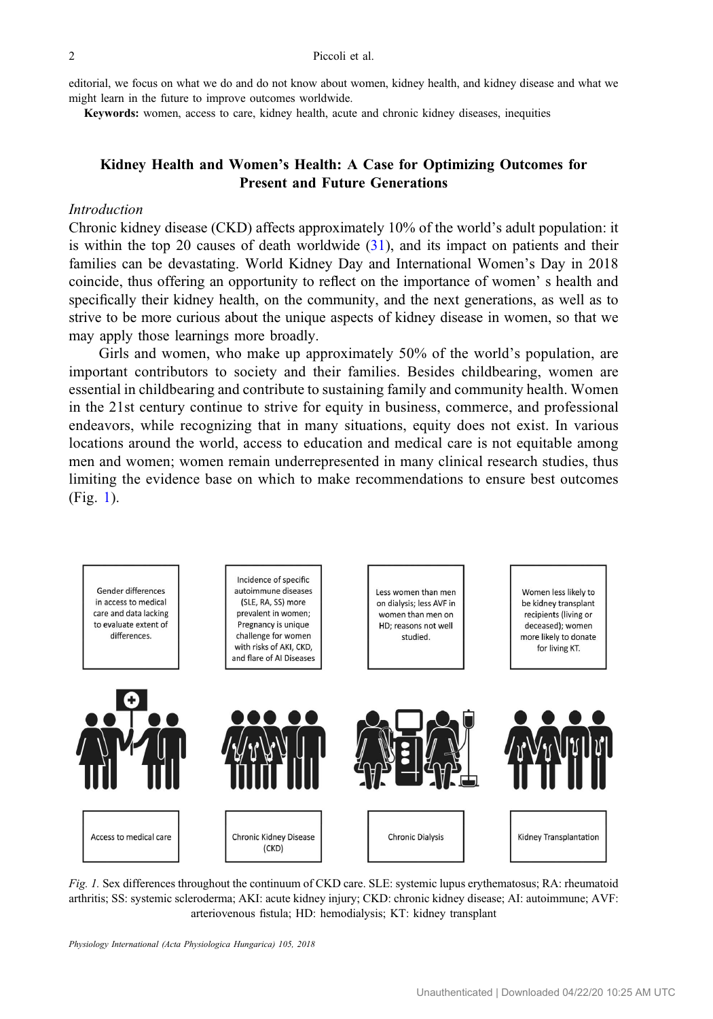editorial, we focus on what we do and do not know about women, kidney health, and kidney disease and what we might learn in the future to improve outcomes worldwide.

Keywords: women, access to care, kidney health, acute and chronic kidney diseases, inequities

# Kidney Health and Women's Health: A Case for Optimizing Outcomes for Present and Future Generations

## Introduction

Chronic kidney disease (CKD) affects approximately 10% of the world's adult population: it is within the top 20 causes of death worldwide  $(31)$  $(31)$ , and its impact on patients and their families can be devastating. World Kidney Day and International Women's Day in 2018 coincide, thus offering an opportunity to reflect on the importance of women' s health and specifically their kidney health, on the community, and the next generations, as well as to strive to be more curious about the unique aspects of kidney disease in women, so that we may apply those learnings more broadly.

Girls and women, who make up approximately 50% of the world's population, are important contributors to society and their families. Besides childbearing, women are essential in childbearing and contribute to sustaining family and community health. Women in the 21st century continue to strive for equity in business, commerce, and professional endeavors, while recognizing that in many situations, equity does not exist. In various locations around the world, access to education and medical care is not equitable among men and women; women remain underrepresented in many clinical research studies, thus limiting the evidence base on which to make recommendations to ensure best outcomes (Fig. 1).



Fig. 1. Sex differences throughout the continuum of CKD care. SLE: systemic lupus erythematosus; RA: rheumatoid arthritis; SS: systemic scleroderma; AKI: acute kidney injury; CKD: chronic kidney disease; AI: autoimmune; AVF: arteriovenous fistula; HD: hemodialysis; KT: kidney transplant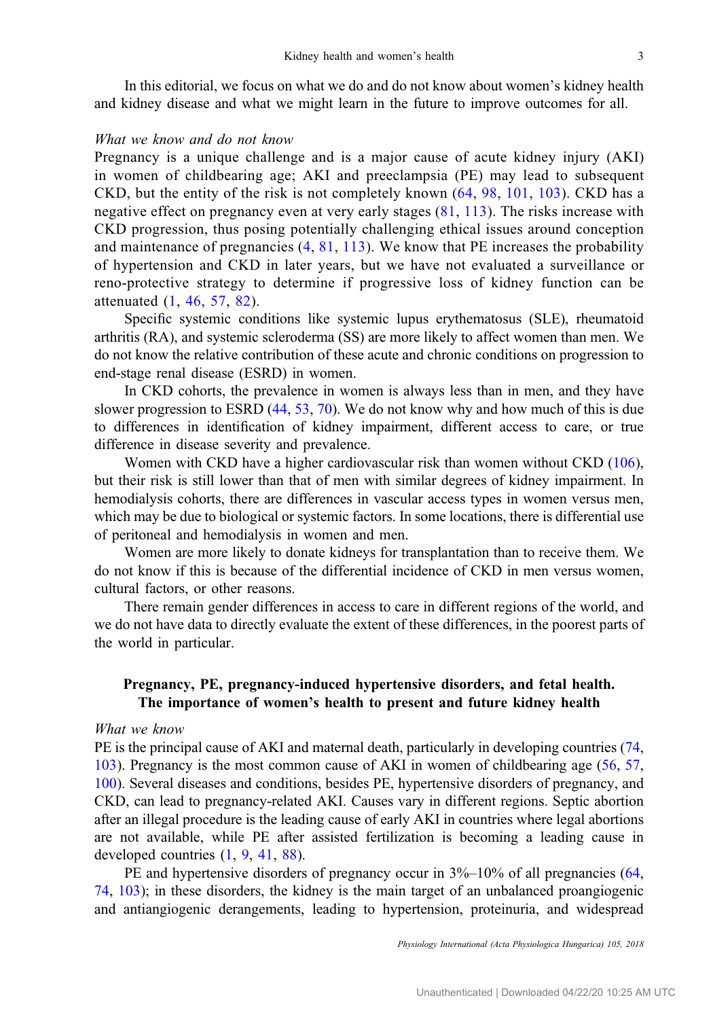In this editorial, we focus on what we do and do not know about women's kidney health and kidney disease and what we might learn in the future to improve outcomes for all.

## What we know and do not know

Pregnancy is a unique challenge and is a major cause of acute kidney injury (AKI) in women of childbearing age; AKI and preeclampsia (PE) may lead to subsequent CKD, but the entity of the risk is not completely known ([64,](#page-14-0) [98](#page-16-0), [101](#page-16-0), [103\)](#page-16-0). CKD has a negative effect on pregnancy even at very early stages ([81](#page-15-0), [113](#page-17-0)). The risks increase with CKD progression, thus posing potentially challenging ethical issues around conception and maintenance of pregnancies  $(4, 81, 113)$  $(4, 81, 113)$  $(4, 81, 113)$  $(4, 81, 113)$  $(4, 81, 113)$  $(4, 81, 113)$ . We know that PE increases the probability of hypertension and CKD in later years, but we have not evaluated a surveillance or reno-protective strategy to determine if progressive loss of kidney function can be attenuated ([1,](#page-11-0) [46](#page-13-0), [57](#page-14-0), [82\)](#page-15-0).

Specific systemic conditions like systemic lupus erythematosus (SLE), rheumatoid arthritis (RA), and systemic scleroderma (SS) are more likely to affect women than men. We do not know the relative contribution of these acute and chronic conditions on progression to end-stage renal disease (ESRD) in women.

In CKD cohorts, the prevalence in women is always less than in men, and they have slower progression to ESRD ([44,](#page-13-0) [53,](#page-13-0) [70\)](#page-14-0). We do not know why and how much of this is due to differences in identification of kidney impairment, different access to care, or true difference in disease severity and prevalence.

Women with CKD have a higher cardiovascular risk than women without CKD [\(106](#page-16-0)), but their risk is still lower than that of men with similar degrees of kidney impairment. In hemodialysis cohorts, there are differences in vascular access types in women versus men, which may be due to biological or systemic factors. In some locations, there is differential use of peritoneal and hemodialysis in women and men.

Women are more likely to donate kidneys for transplantation than to receive them. We do not know if this is because of the differential incidence of CKD in men versus women, cultural factors, or other reasons.

There remain gender differences in access to care in different regions of the world, and we do not have data to directly evaluate the extent of these differences, in the poorest parts of the world in particular.

# Pregnancy, PE, pregnancy-induced hypertensive disorders, and fetal health. The importance of women's health to present and future kidney health

## What we know

PE is the principal cause of AKI and maternal death, particularly in developing countries [\(74,](#page-14-0) [103](#page-16-0)). Pregnancy is the most common cause of AKI in women of childbearing age ([56,](#page-14-0) [57,](#page-14-0) [100](#page-16-0)). Several diseases and conditions, besides PE, hypertensive disorders of pregnancy, and CKD, can lead to pregnancy-related AKI. Causes vary in different regions. Septic abortion after an illegal procedure is the leading cause of early AKI in countries where legal abortions are not available, while PE after assisted fertilization is becoming a leading cause in developed countries [\(1](#page-11-0), [9](#page-11-0), [41](#page-13-0), [88](#page-15-0)).

PE and hypertensive disorders of pregnancy occur in 3%–10% of all pregnancies [\(64,](#page-14-0) [74](#page-14-0), [103\)](#page-16-0); in these disorders, the kidney is the main target of an unbalanced proangiogenic and antiangiogenic derangements, leading to hypertension, proteinuria, and widespread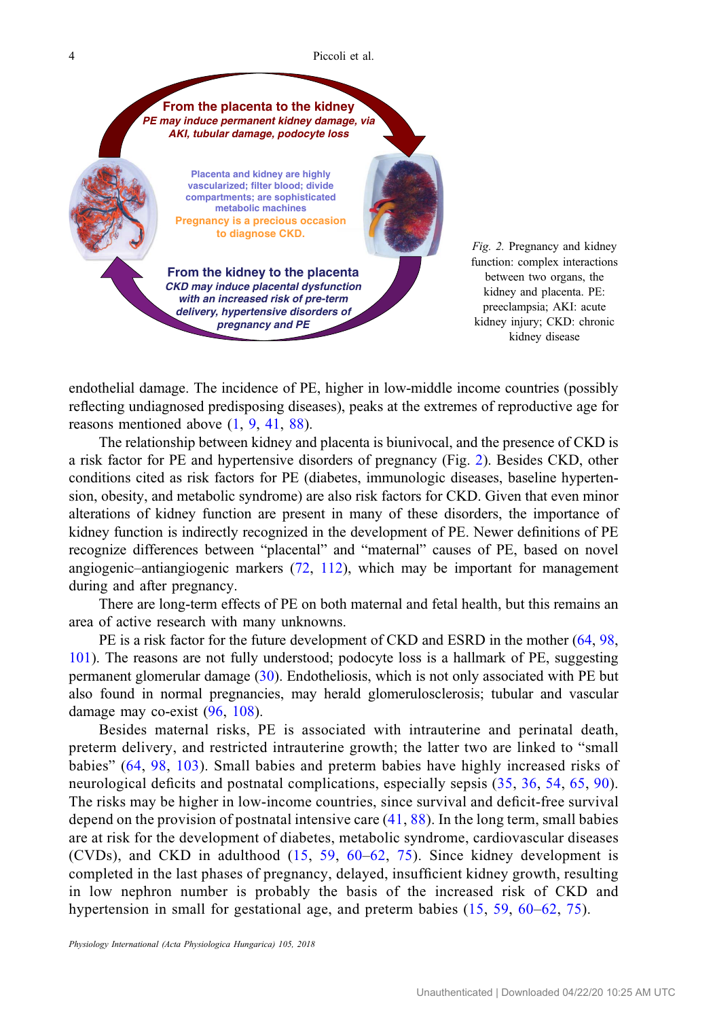4 Piccoli et al.



endothelial damage. The incidence of PE, higher in low-middle income countries (possibly reflecting undiagnosed predisposing diseases), peaks at the extremes of reproductive age for reasons mentioned above [\(1](#page-11-0), [9](#page-11-0), [41](#page-13-0), [88](#page-15-0)).

The relationship between kidney and placenta is biunivocal, and the presence of CKD is a risk factor for PE and hypertensive disorders of pregnancy (Fig. 2). Besides CKD, other conditions cited as risk factors for PE (diabetes, immunologic diseases, baseline hypertension, obesity, and metabolic syndrome) are also risk factors for CKD. Given that even minor alterations of kidney function are present in many of these disorders, the importance of kidney function is indirectly recognized in the development of PE. Newer definitions of PE recognize differences between "placental" and "maternal" causes of PE, based on novel angiogenic–antiangiogenic markers ([72,](#page-14-0) [112\)](#page-17-0), which may be important for management during and after pregnancy.

There are long-term effects of PE on both maternal and fetal health, but this remains an area of active research with many unknowns.

PE is a risk factor for the future development of CKD and ESRD in the mother [\(64](#page-14-0), [98,](#page-16-0) [101](#page-16-0)). The reasons are not fully understood; podocyte loss is a hallmark of PE, suggesting permanent glomerular damage [\(30](#page-12-0)). Endotheliosis, which is not only associated with PE but also found in normal pregnancies, may herald glomerulosclerosis; tubular and vascular damage may co-exist ([96,](#page-16-0) [108](#page-16-0)).

Besides maternal risks, PE is associated with intrauterine and perinatal death, preterm delivery, and restricted intrauterine growth; the latter two are linked to "small babies" ([64,](#page-14-0) [98](#page-16-0), [103](#page-16-0)). Small babies and preterm babies have highly increased risks of neurological deficits and postnatal complications, especially sepsis ([35,](#page-12-0) [36,](#page-12-0) [54,](#page-13-0) [65,](#page-14-0) [90](#page-15-0)). The risks may be higher in low-income countries, since survival and deficit-free survival depend on the provision of postnatal intensive care  $(41, 88)$  $(41, 88)$  $(41, 88)$  $(41, 88)$ . In the long term, small babies are at risk for the development of diabetes, metabolic syndrome, cardiovascular diseases (CVDs), and CKD in adulthood ([15](#page-11-0), [59](#page-14-0), [60](#page-14-0)–[62,](#page-14-0) [75\)](#page-15-0). Since kidney development is completed in the last phases of pregnancy, delayed, insufficient kidney growth, resulting in low nephron number is probably the basis of the increased risk of CKD and hypertension in small for gestational age, and preterm babies ([15](#page-11-0), [59,](#page-14-0) [60](#page-14-0)–[62](#page-14-0), [75\)](#page-15-0).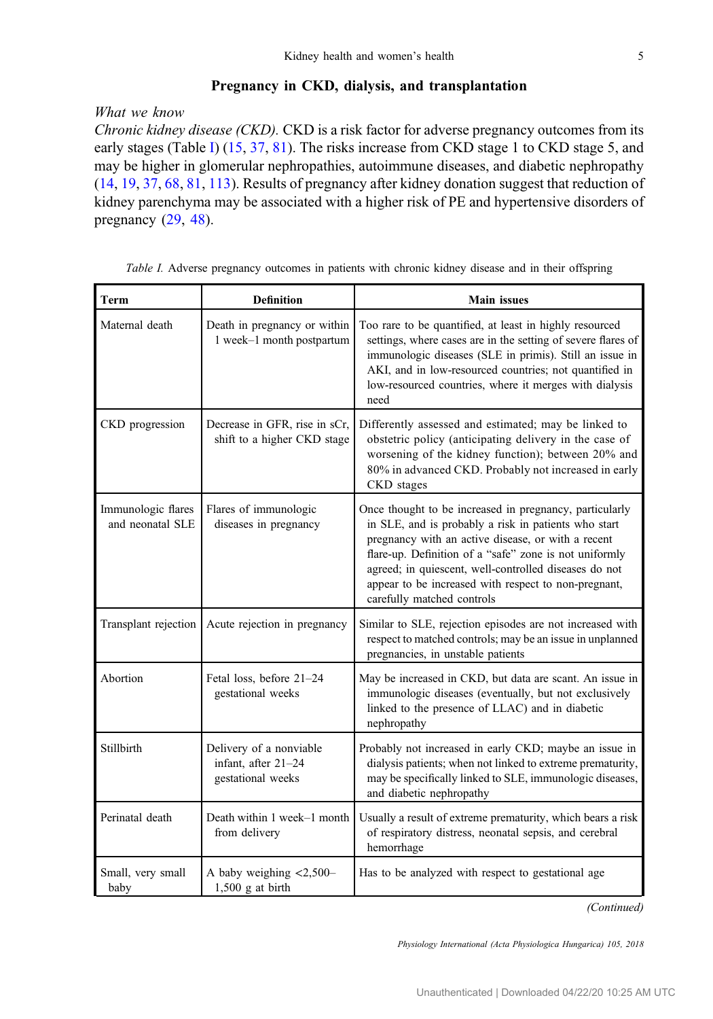## Pregnancy in CKD, dialysis, and transplantation

What we know

Chronic kidney disease (CKD). CKD is a risk factor for adverse pregnancy outcomes from its early stages (Table I) [\(15](#page-11-0), [37](#page-13-0), [81](#page-15-0)). The risks increase from CKD stage 1 to CKD stage 5, and may be higher in glomerular nephropathies, autoimmune diseases, and diabetic nephropathy [\(14](#page-11-0), [19,](#page-12-0) [37](#page-13-0), [68](#page-14-0), [81,](#page-15-0) [113](#page-17-0)). Results of pregnancy after kidney donation suggest that reduction of kidney parenchyma may be associated with a higher risk of PE and hypertensive disorders of pregnancy [\(29](#page-12-0), [48](#page-13-0)).

| <b>Term</b>                            | <b>Definition</b>                                                   | <b>Main</b> issues                                                                                                                                                                                                                                                                                                                                                             |  |  |  |
|----------------------------------------|---------------------------------------------------------------------|--------------------------------------------------------------------------------------------------------------------------------------------------------------------------------------------------------------------------------------------------------------------------------------------------------------------------------------------------------------------------------|--|--|--|
| Maternal death                         | Death in pregnancy or within<br>1 week-1 month postpartum           | Too rare to be quantified, at least in highly resourced<br>settings, where cases are in the setting of severe flares of<br>immunologic diseases (SLE in primis). Still an issue in<br>AKI, and in low-resourced countries; not quantified in<br>low-resourced countries, where it merges with dialysis<br>need                                                                 |  |  |  |
| CKD progression                        | Decrease in GFR, rise in sCr,<br>shift to a higher CKD stage        | Differently assessed and estimated; may be linked to<br>obstetric policy (anticipating delivery in the case of<br>worsening of the kidney function); between 20% and<br>80% in advanced CKD. Probably not increased in early<br>CKD stages                                                                                                                                     |  |  |  |
| Immunologic flares<br>and neonatal SLE | Flares of immunologic<br>diseases in pregnancy                      | Once thought to be increased in pregnancy, particularly<br>in SLE, and is probably a risk in patients who start<br>pregnancy with an active disease, or with a recent<br>flare-up. Definition of a "safe" zone is not uniformly<br>agreed; in quiescent, well-controlled diseases do not<br>appear to be increased with respect to non-pregnant,<br>carefully matched controls |  |  |  |
| Transplant rejection                   | Acute rejection in pregnancy                                        | Similar to SLE, rejection episodes are not increased with<br>respect to matched controls; may be an issue in unplanned<br>pregnancies, in unstable patients                                                                                                                                                                                                                    |  |  |  |
| Abortion                               | Fetal loss, before 21-24<br>gestational weeks                       | May be increased in CKD, but data are scant. An issue in<br>immunologic diseases (eventually, but not exclusively<br>linked to the presence of LLAC) and in diabetic<br>nephropathy                                                                                                                                                                                            |  |  |  |
| Stillbirth                             | Delivery of a nonviable<br>infant, after 21-24<br>gestational weeks | Probably not increased in early CKD; maybe an issue in<br>dialysis patients; when not linked to extreme prematurity,<br>may be specifically linked to SLE, immunologic diseases,<br>and diabetic nephropathy                                                                                                                                                                   |  |  |  |
| Perinatal death                        | Death within 1 week-1 month<br>from delivery                        | Usually a result of extreme prematurity, which bears a risk<br>of respiratory distress, neonatal sepsis, and cerebral<br>hemorrhage                                                                                                                                                                                                                                            |  |  |  |
| Small, very small<br>baby              | A baby weighing $\langle 2, 500 -$<br>$1,500$ g at birth            | Has to be analyzed with respect to gestational age                                                                                                                                                                                                                                                                                                                             |  |  |  |
| (Continued)                            |                                                                     |                                                                                                                                                                                                                                                                                                                                                                                |  |  |  |

Table I. Adverse pregnancy outcomes in patients with chronic kidney disease and in their offspring

(Continued)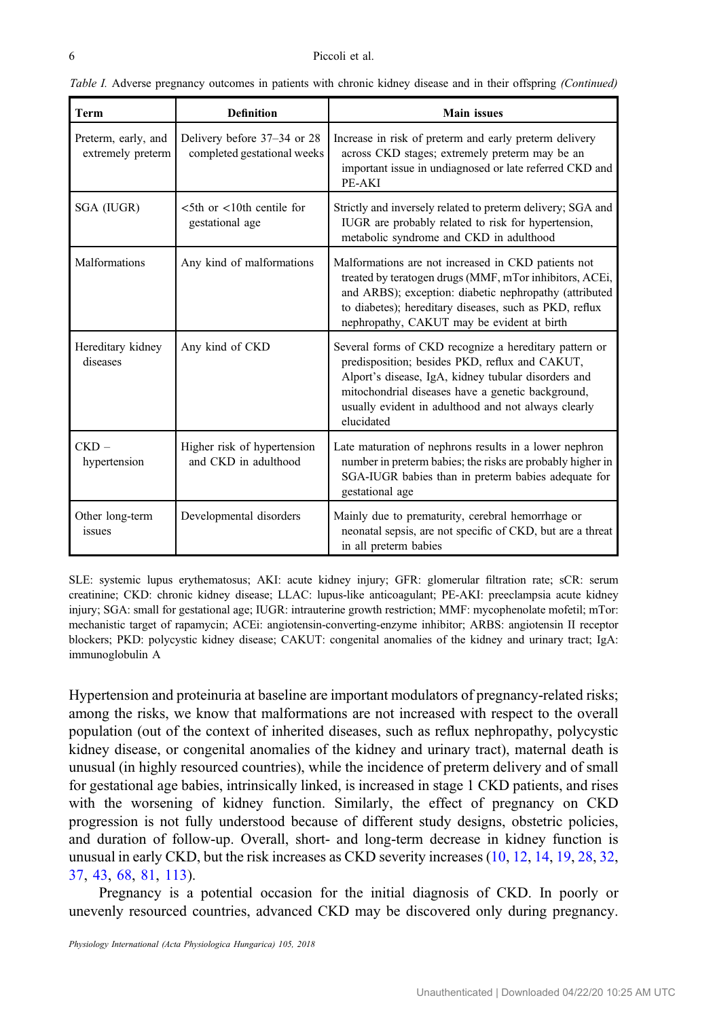Table I. Adverse pregnancy outcomes in patients with chronic kidney disease and in their offspring (Continued)

| <b>Term</b>                              | <b>Definition</b>                                          | <b>Main</b> issues                                                                                                                                                                                                                                                                        |  |
|------------------------------------------|------------------------------------------------------------|-------------------------------------------------------------------------------------------------------------------------------------------------------------------------------------------------------------------------------------------------------------------------------------------|--|
| Preterm, early, and<br>extremely preterm | Delivery before 37-34 or 28<br>completed gestational weeks | Increase in risk of preterm and early preterm delivery<br>across CKD stages; extremely preterm may be an<br>important issue in undiagnosed or late referred CKD and<br>PE-AKI                                                                                                             |  |
| SGA (IUGR)                               | $<$ 5th or $<$ 10th centile for<br>gestational age         | Strictly and inversely related to preterm delivery; SGA and<br>IUGR are probably related to risk for hypertension,<br>metabolic syndrome and CKD in adulthood                                                                                                                             |  |
| <b>Malformations</b>                     | Any kind of malformations                                  | Malformations are not increased in CKD patients not<br>treated by teratogen drugs (MMF, mTor inhibitors, ACEi,<br>and ARBS); exception: diabetic nephropathy (attributed<br>to diabetes); hereditary diseases, such as PKD, reflux<br>nephropathy, CAKUT may be evident at birth          |  |
| Hereditary kidney<br>diseases            | Any kind of CKD                                            | Several forms of CKD recognize a hereditary pattern or<br>predisposition; besides PKD, reflux and CAKUT,<br>Alport's disease, IgA, kidney tubular disorders and<br>mitochondrial diseases have a genetic background,<br>usually evident in adulthood and not always clearly<br>elucidated |  |
| $CKD -$<br>hypertension                  | Higher risk of hypertension<br>and CKD in adulthood        | Late maturation of nephrons results in a lower nephron<br>number in preterm babies; the risks are probably higher in<br>SGA-IUGR babies than in preterm babies adequate for<br>gestational age                                                                                            |  |
| Other long-term<br><i>issues</i>         | Developmental disorders                                    | Mainly due to prematurity, cerebral hemorrhage or<br>neonatal sepsis, are not specific of CKD, but are a threat<br>in all preterm babies                                                                                                                                                  |  |

SLE: systemic lupus erythematosus; AKI: acute kidney injury; GFR: glomerular filtration rate; sCR: serum creatinine; CKD: chronic kidney disease; LLAC: lupus-like anticoagulant; PE-AKI: preeclampsia acute kidney injury; SGA: small for gestational age; IUGR: intrauterine growth restriction; MMF: mycophenolate mofetil; mTor: mechanistic target of rapamycin; ACEi: angiotensin-converting-enzyme inhibitor; ARBS: angiotensin II receptor blockers; PKD: polycystic kidney disease; CAKUT: congenital anomalies of the kidney and urinary tract; IgA: immunoglobulin A

Hypertension and proteinuria at baseline are important modulators of pregnancy-related risks; among the risks, we know that malformations are not increased with respect to the overall population (out of the context of inherited diseases, such as reflux nephropathy, polycystic kidney disease, or congenital anomalies of the kidney and urinary tract), maternal death is unusual (in highly resourced countries), while the incidence of preterm delivery and of small for gestational age babies, intrinsically linked, is increased in stage 1 CKD patients, and rises with the worsening of kidney function. Similarly, the effect of pregnancy on CKD progression is not fully understood because of different study designs, obstetric policies, and duration of follow-up. Overall, short- and long-term decrease in kidney function is unusual in early CKD, but the risk increases as CKD severity increases ([10,](#page-11-0) [12](#page-11-0), [14,](#page-11-0) [19](#page-12-0), [28](#page-12-0), [32,](#page-12-0) [37](#page-13-0), [43](#page-13-0), [68](#page-14-0), [81](#page-15-0), [113](#page-17-0)).

Pregnancy is a potential occasion for the initial diagnosis of CKD. In poorly or unevenly resourced countries, advanced CKD may be discovered only during pregnancy.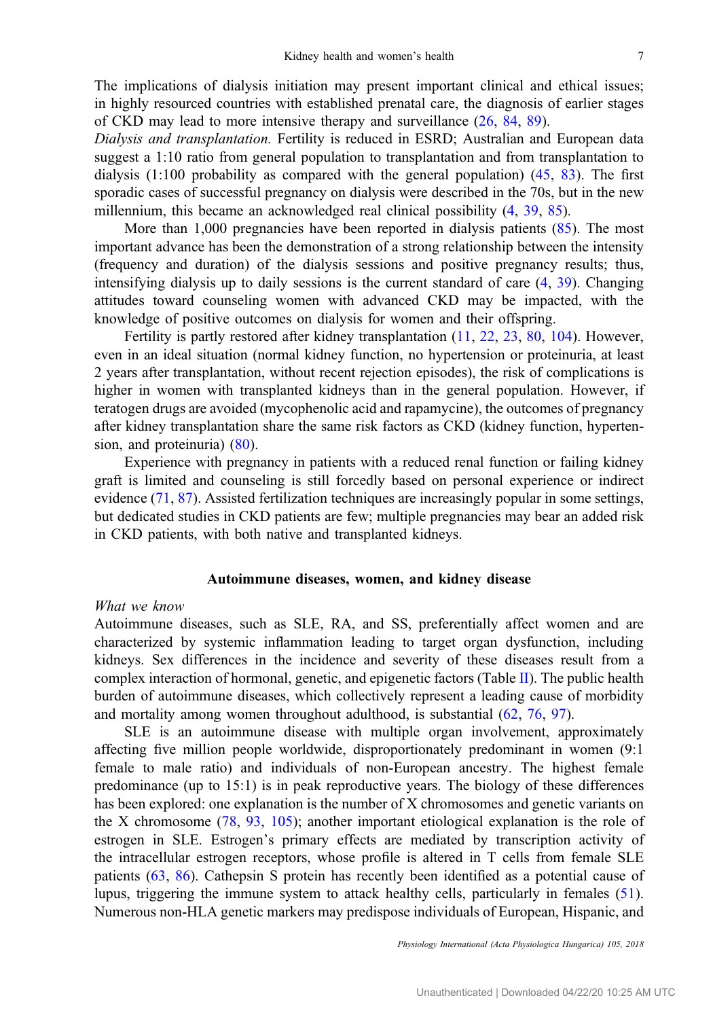The implications of dialysis initiation may present important clinical and ethical issues; in highly resourced countries with established prenatal care, the diagnosis of earlier stages of CKD may lead to more intensive therapy and surveillance ([26,](#page-12-0) [84,](#page-15-0) [89\)](#page-15-0).

Dialysis and transplantation. Fertility is reduced in ESRD; Australian and European data suggest a 1:10 ratio from general population to transplantation and from transplantation to dialysis (1:100 probability as compared with the general population) ([45,](#page-13-0) [83\)](#page-15-0). The first sporadic cases of successful pregnancy on dialysis were described in the 70s, but in the new millennium, this became an acknowledged real clinical possibility ([4,](#page-11-0) [39,](#page-13-0) [85\)](#page-15-0).

More than 1,000 pregnancies have been reported in dialysis patients ([85\)](#page-15-0). The most important advance has been the demonstration of a strong relationship between the intensity (frequency and duration) of the dialysis sessions and positive pregnancy results; thus, intensifying dialysis up to daily sessions is the current standard of care ([4,](#page-11-0) [39\)](#page-13-0). Changing attitudes toward counseling women with advanced CKD may be impacted, with the knowledge of positive outcomes on dialysis for women and their offspring.

Fertility is partly restored after kidney transplantation ([11,](#page-11-0) [22](#page-12-0), [23](#page-12-0), [80,](#page-15-0) [104](#page-16-0)). However, even in an ideal situation (normal kidney function, no hypertension or proteinuria, at least 2 years after transplantation, without recent rejection episodes), the risk of complications is higher in women with transplanted kidneys than in the general population. However, if teratogen drugs are avoided (mycophenolic acid and rapamycine), the outcomes of pregnancy after kidney transplantation share the same risk factors as CKD (kidney function, hypertension, and proteinuria) ([80\)](#page-15-0).

Experience with pregnancy in patients with a reduced renal function or failing kidney graft is limited and counseling is still forcedly based on personal experience or indirect evidence ([71,](#page-14-0) [87\)](#page-15-0). Assisted fertilization techniques are increasingly popular in some settings, but dedicated studies in CKD patients are few; multiple pregnancies may bear an added risk in CKD patients, with both native and transplanted kidneys.

## Autoimmune diseases, women, and kidney disease

## What we know

Autoimmune diseases, such as SLE, RA, and SS, preferentially affect women and are characterized by systemic inflammation leading to target organ dysfunction, including kidneys. Sex differences in the incidence and severity of these diseases result from a complex interaction of hormonal, genetic, and epigenetic factors (Table [II](#page-7-0)). The public health burden of autoimmune diseases, which collectively represent a leading cause of morbidity and mortality among women throughout adulthood, is substantial [\(62](#page-14-0), [76](#page-15-0), [97](#page-16-0)).

SLE is an autoimmune disease with multiple organ involvement, approximately affecting five million people worldwide, disproportionately predominant in women (9:1 female to male ratio) and individuals of non-European ancestry. The highest female predominance (up to 15:1) is in peak reproductive years. The biology of these differences has been explored: one explanation is the number of X chromosomes and genetic variants on the X chromosome [\(78](#page-15-0), [93](#page-16-0), [105\)](#page-16-0); another important etiological explanation is the role of estrogen in SLE. Estrogen's primary effects are mediated by transcription activity of the intracellular estrogen receptors, whose profile is altered in T cells from female SLE patients ([63,](#page-14-0) [86](#page-15-0)). Cathepsin S protein has recently been identified as a potential cause of lupus, triggering the immune system to attack healthy cells, particularly in females [\(51](#page-13-0)). Numerous non-HLA genetic markers may predispose individuals of European, Hispanic, and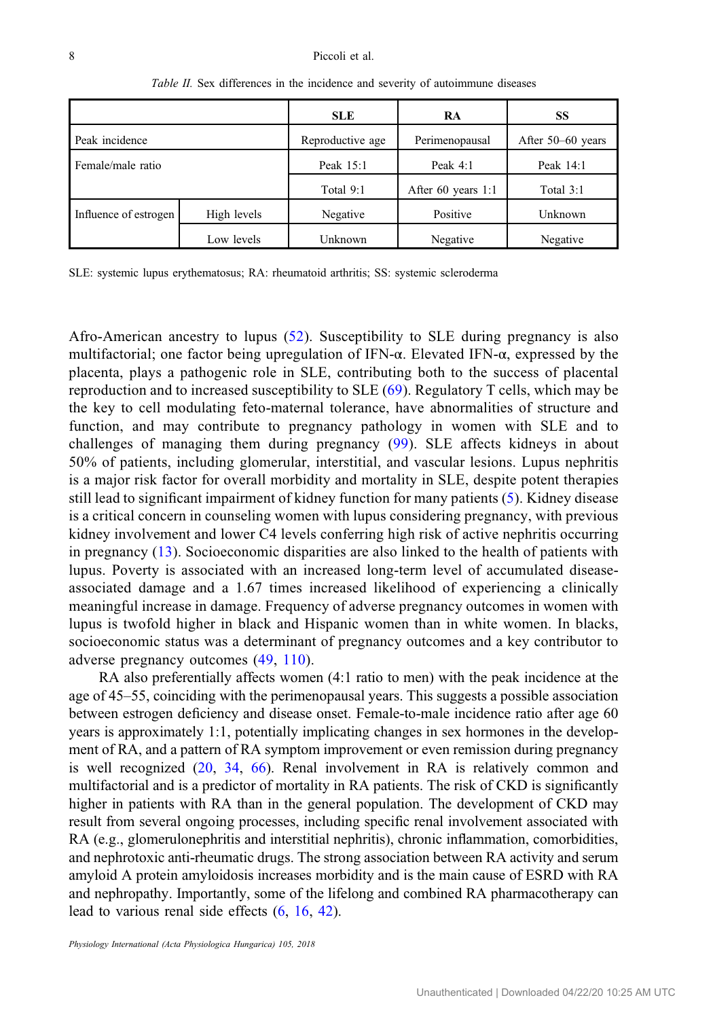<span id="page-7-0"></span>

|                       |             | <b>SLE</b>       | RA                 | SS                |
|-----------------------|-------------|------------------|--------------------|-------------------|
| Peak incidence        |             | Reproductive age | Perimenopausal     | After 50–60 years |
| Female/male ratio     |             | Peak 15:1        | Peak $4:1$         | Peak 14:1         |
|                       |             | Total 9:1        | After 60 years 1:1 | Total 3:1         |
| Influence of estrogen | High levels | Negative         | Positive           | Unknown           |
|                       | Low levels  | Unknown          | Negative           | Negative          |

Table II. Sex differences in the incidence and severity of autoimmune diseases

SLE: systemic lupus erythematosus; RA: rheumatoid arthritis; SS: systemic scleroderma

Afro-American ancestry to lupus ([52](#page-13-0)). Susceptibility to SLE during pregnancy is also multifactorial; one factor being upregulation of IFN- $\alpha$ . Elevated IFN- $\alpha$ , expressed by the placenta, plays a pathogenic role in SLE, contributing both to the success of placental reproduction and to increased susceptibility to SLE ([69\)](#page-14-0). Regulatory T cells, which may be the key to cell modulating feto-maternal tolerance, have abnormalities of structure and function, and may contribute to pregnancy pathology in women with SLE and to challenges of managing them during pregnancy ([99\)](#page-16-0). SLE affects kidneys in about 50% of patients, including glomerular, interstitial, and vascular lesions. Lupus nephritis is a major risk factor for overall morbidity and mortality in SLE, despite potent therapies still lead to significant impairment of kidney function for many patients [\(5\)](#page-11-0). Kidney disease is a critical concern in counseling women with lupus considering pregnancy, with previous kidney involvement and lower C4 levels conferring high risk of active nephritis occurring in pregnancy ([13](#page-11-0)). Socioeconomic disparities are also linked to the health of patients with lupus. Poverty is associated with an increased long-term level of accumulated diseaseassociated damage and a 1.67 times increased likelihood of experiencing a clinically meaningful increase in damage. Frequency of adverse pregnancy outcomes in women with lupus is twofold higher in black and Hispanic women than in white women. In blacks, socioeconomic status was a determinant of pregnancy outcomes and a key contributor to adverse pregnancy outcomes [\(49,](#page-13-0) [110](#page-17-0)).

RA also preferentially affects women (4:1 ratio to men) with the peak incidence at the age of 45–55, coinciding with the perimenopausal years. This suggests a possible association between estrogen deficiency and disease onset. Female-to-male incidence ratio after age 60 years is approximately 1:1, potentially implicating changes in sex hormones in the development of RA, and a pattern of RA symptom improvement or even remission during pregnancy is well recognized [\(20](#page-12-0), [34,](#page-12-0) [66\)](#page-14-0). Renal involvement in RA is relatively common and multifactorial and is a predictor of mortality in RA patients. The risk of CKD is significantly higher in patients with RA than in the general population. The development of CKD may result from several ongoing processes, including specific renal involvement associated with RA (e.g., glomerulonephritis and interstitial nephritis), chronic inflammation, comorbidities, and nephrotoxic anti-rheumatic drugs. The strong association between RA activity and serum amyloid A protein amyloidosis increases morbidity and is the main cause of ESRD with RA and nephropathy. Importantly, some of the lifelong and combined RA pharmacotherapy can lead to various renal side effects [\(6](#page-11-0), [16](#page-12-0), [42](#page-13-0)).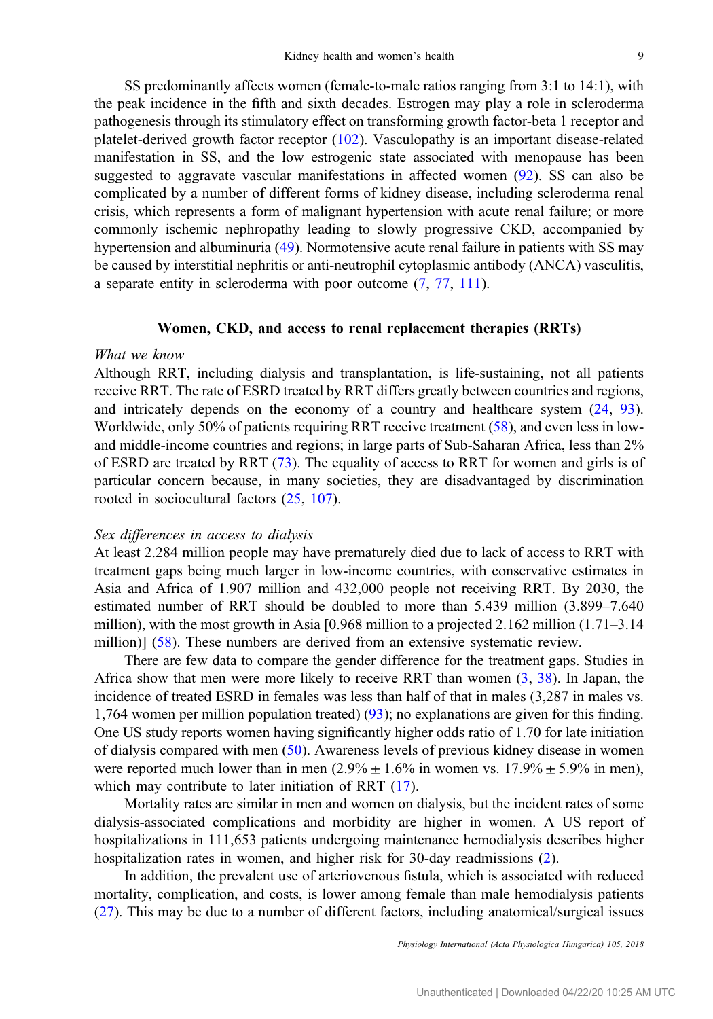SS predominantly affects women (female-to-male ratios ranging from 3:1 to 14:1), with the peak incidence in the fifth and sixth decades. Estrogen may play a role in scleroderma pathogenesis through its stimulatory effect on transforming growth factor-beta 1 receptor and platelet-derived growth factor receptor ([102\)](#page-16-0). Vasculopathy is an important disease-related manifestation in SS, and the low estrogenic state associated with menopause has been suggested to aggravate vascular manifestations in affected women [\(92](#page-16-0)). SS can also be complicated by a number of different forms of kidney disease, including scleroderma renal crisis, which represents a form of malignant hypertension with acute renal failure; or more commonly ischemic nephropathy leading to slowly progressive CKD, accompanied by hypertension and albuminuria ([49\)](#page-13-0). Normotensive acute renal failure in patients with SS may be caused by interstitial nephritis or anti-neutrophil cytoplasmic antibody (ANCA) vasculitis, a separate entity in scleroderma with poor outcome [\(7,](#page-11-0) [77,](#page-15-0) [111\)](#page-17-0).

#### Women, CKD, and access to renal replacement therapies (RRTs)

#### What we know

Although RRT, including dialysis and transplantation, is life-sustaining, not all patients receive RRT. The rate of ESRD treated by RRT differs greatly between countries and regions, and intricately depends on the economy of a country and healthcare system ([24,](#page-12-0) [93](#page-16-0)). Worldwide, only 50% of patients requiring RRT receive treatment [\(58](#page-14-0)), and even less in lowand middle-income countries and regions; in large parts of Sub-Saharan Africa, less than 2% of ESRD are treated by RRT [\(73](#page-14-0)). The equality of access to RRT for women and girls is of particular concern because, in many societies, they are disadvantaged by discrimination rooted in sociocultural factors [\(25](#page-12-0), [107](#page-16-0)).

## Sex differences in access to dialysis

At least 2.284 million people may have prematurely died due to lack of access to RRT with treatment gaps being much larger in low-income countries, with conservative estimates in Asia and Africa of 1.907 million and 432,000 people not receiving RRT. By 2030, the estimated number of RRT should be doubled to more than 5.439 million (3.899–7.640 million), with the most growth in Asia [0.968 million to a projected 2.162 million (1.71–3.14 million)] ([58\)](#page-14-0). These numbers are derived from an extensive systematic review.

There are few data to compare the gender difference for the treatment gaps. Studies in Africa show that men were more likely to receive RRT than women [\(3](#page-11-0), [38\)](#page-13-0). In Japan, the incidence of treated ESRD in females was less than half of that in males (3,287 in males vs. 1,764 women per million population treated) [\(93](#page-16-0)); no explanations are given for this finding. One US study reports women having significantly higher odds ratio of 1.70 for late initiation of dialysis compared with men ([50\)](#page-13-0). Awareness levels of previous kidney disease in women were reported much lower than in men  $(2.9\% \pm 1.6\%$  in women vs. 17.9%  $\pm 5.9\%$  in men), which may contribute to later initiation of RRT  $(17)$  $(17)$ .

Mortality rates are similar in men and women on dialysis, but the incident rates of some dialysis-associated complications and morbidity are higher in women. A US report of hospitalizations in 111,653 patients undergoing maintenance hemodialysis describes higher hospitalization rates in women, and higher risk for 30-day readmissions ([2\)](#page-11-0).

In addition, the prevalent use of arteriovenous fistula, which is associated with reduced mortality, complication, and costs, is lower among female than male hemodialysis patients [\(27](#page-12-0)). This may be due to a number of different factors, including anatomical/surgical issues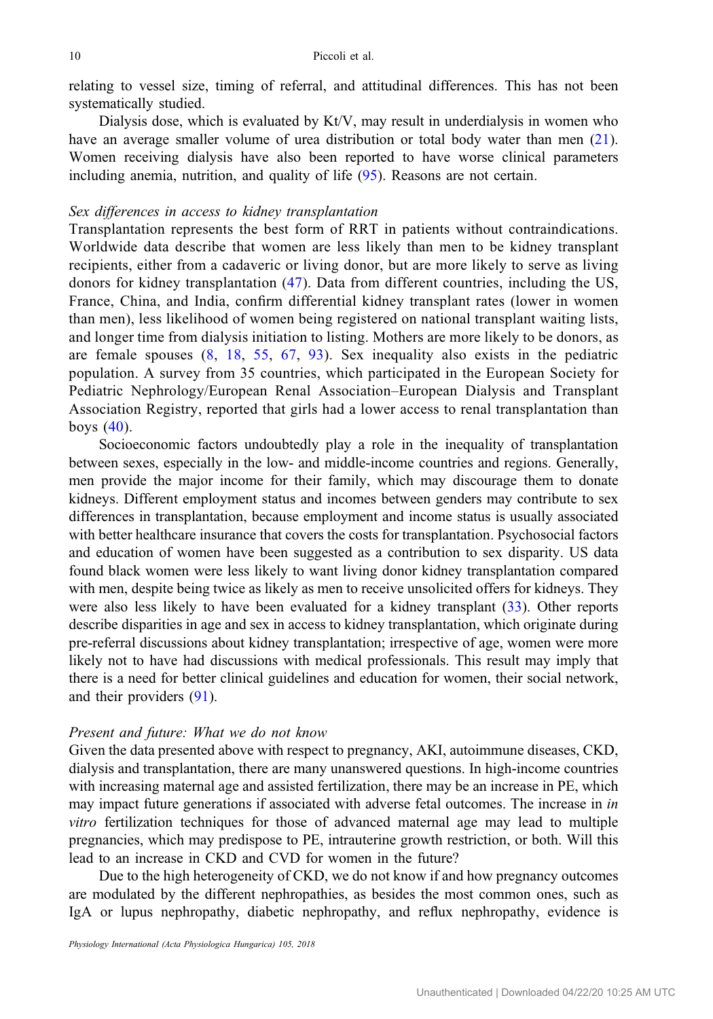relating to vessel size, timing of referral, and attitudinal differences. This has not been systematically studied.

Dialysis dose, which is evaluated by Kt/V, may result in underdialysis in women who have an average smaller volume of urea distribution or total body water than men [\(21](#page-12-0)). Women receiving dialysis have also been reported to have worse clinical parameters including anemia, nutrition, and quality of life [\(95](#page-16-0)). Reasons are not certain.

# Sex differences in access to kidney transplantation

Transplantation represents the best form of RRT in patients without contraindications. Worldwide data describe that women are less likely than men to be kidney transplant recipients, either from a cadaveric or living donor, but are more likely to serve as living donors for kidney transplantation ([47](#page-13-0)). Data from different countries, including the US, France, China, and India, confirm differential kidney transplant rates (lower in women than men), less likelihood of women being registered on national transplant waiting lists, and longer time from dialysis initiation to listing. Mothers are more likely to be donors, as are female spouses ([8,](#page-11-0) [18](#page-12-0), [55,](#page-14-0) [67](#page-14-0), [93](#page-16-0)). Sex inequality also exists in the pediatric population. A survey from 35 countries, which participated in the European Society for Pediatric Nephrology/European Renal Association–European Dialysis and Transplant Association Registry, reported that girls had a lower access to renal transplantation than boys [\(40\)](#page-13-0).

Socioeconomic factors undoubtedly play a role in the inequality of transplantation between sexes, especially in the low- and middle-income countries and regions. Generally, men provide the major income for their family, which may discourage them to donate kidneys. Different employment status and incomes between genders may contribute to sex differences in transplantation, because employment and income status is usually associated with better healthcare insurance that covers the costs for transplantation. Psychosocial factors and education of women have been suggested as a contribution to sex disparity. US data found black women were less likely to want living donor kidney transplantation compared with men, despite being twice as likely as men to receive unsolicited offers for kidneys. They were also less likely to have been evaluated for a kidney transplant ([33\)](#page-12-0). Other reports describe disparities in age and sex in access to kidney transplantation, which originate during pre-referral discussions about kidney transplantation; irrespective of age, women were more likely not to have had discussions with medical professionals. This result may imply that there is a need for better clinical guidelines and education for women, their social network, and their providers ([91\)](#page-16-0).

## Present and future: What we do not know

Given the data presented above with respect to pregnancy, AKI, autoimmune diseases, CKD, dialysis and transplantation, there are many unanswered questions. In high-income countries with increasing maternal age and assisted fertilization, there may be an increase in PE, which may impact future generations if associated with adverse fetal outcomes. The increase in in vitro fertilization techniques for those of advanced maternal age may lead to multiple pregnancies, which may predispose to PE, intrauterine growth restriction, or both. Will this lead to an increase in CKD and CVD for women in the future?

Due to the high heterogeneity of CKD, we do not know if and how pregnancy outcomes are modulated by the different nephropathies, as besides the most common ones, such as IgA or lupus nephropathy, diabetic nephropathy, and reflux nephropathy, evidence is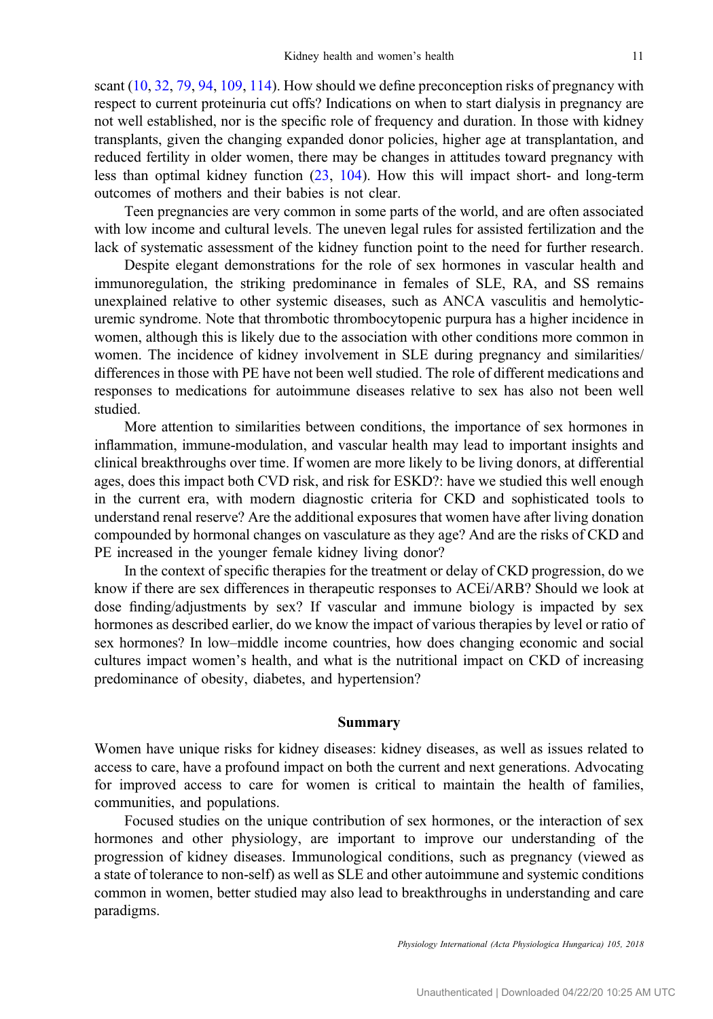scant ([10,](#page-11-0) [32](#page-12-0), [79,](#page-15-0) [94](#page-16-0), [109](#page-16-0), [114\)](#page-17-0). How should we define preconception risks of pregnancy with respect to current proteinuria cut offs? Indications on when to start dialysis in pregnancy are not well established, nor is the specific role of frequency and duration. In those with kidney transplants, given the changing expanded donor policies, higher age at transplantation, and reduced fertility in older women, there may be changes in attitudes toward pregnancy with less than optimal kidney function [\(23](#page-12-0), [104\)](#page-16-0). How this will impact short- and long-term outcomes of mothers and their babies is not clear.

Teen pregnancies are very common in some parts of the world, and are often associated with low income and cultural levels. The uneven legal rules for assisted fertilization and the lack of systematic assessment of the kidney function point to the need for further research.

Despite elegant demonstrations for the role of sex hormones in vascular health and immunoregulation, the striking predominance in females of SLE, RA, and SS remains unexplained relative to other systemic diseases, such as ANCA vasculitis and hemolyticuremic syndrome. Note that thrombotic thrombocytopenic purpura has a higher incidence in women, although this is likely due to the association with other conditions more common in women. The incidence of kidney involvement in SLE during pregnancy and similarities/ differences in those with PE have not been well studied. The role of different medications and responses to medications for autoimmune diseases relative to sex has also not been well studied.

More attention to similarities between conditions, the importance of sex hormones in inflammation, immune-modulation, and vascular health may lead to important insights and clinical breakthroughs over time. If women are more likely to be living donors, at differential ages, does this impact both CVD risk, and risk for ESKD?: have we studied this well enough in the current era, with modern diagnostic criteria for CKD and sophisticated tools to understand renal reserve? Are the additional exposures that women have after living donation compounded by hormonal changes on vasculature as they age? And are the risks of CKD and PE increased in the younger female kidney living donor?

In the context of specific therapies for the treatment or delay of CKD progression, do we know if there are sex differences in therapeutic responses to ACEi/ARB? Should we look at dose finding/adjustments by sex? If vascular and immune biology is impacted by sex hormones as described earlier, do we know the impact of various therapies by level or ratio of sex hormones? In low–middle income countries, how does changing economic and social cultures impact women's health, and what is the nutritional impact on CKD of increasing predominance of obesity, diabetes, and hypertension?

#### Summary

Women have unique risks for kidney diseases: kidney diseases, as well as issues related to access to care, have a profound impact on both the current and next generations. Advocating for improved access to care for women is critical to maintain the health of families, communities, and populations.

Focused studies on the unique contribution of sex hormones, or the interaction of sex hormones and other physiology, are important to improve our understanding of the progression of kidney diseases. Immunological conditions, such as pregnancy (viewed as a state of tolerance to non-self) as well as SLE and other autoimmune and systemic conditions common in women, better studied may also lead to breakthroughs in understanding and care paradigms.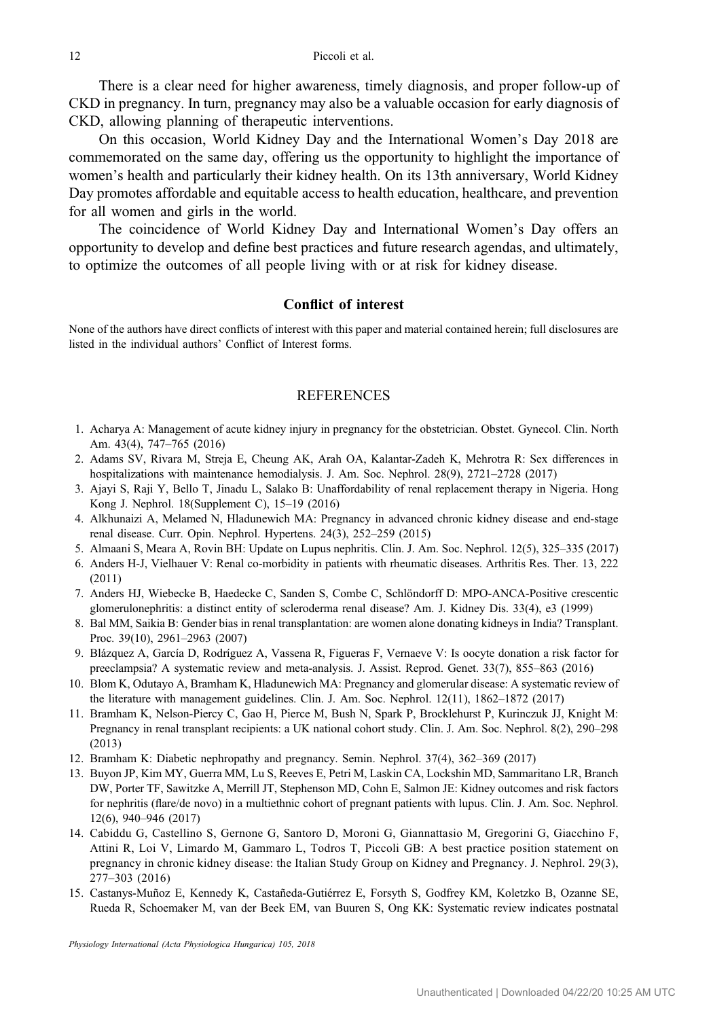<span id="page-11-0"></span>There is a clear need for higher awareness, timely diagnosis, and proper follow-up of CKD in pregnancy. In turn, pregnancy may also be a valuable occasion for early diagnosis of CKD, allowing planning of therapeutic interventions.

On this occasion, World Kidney Day and the International Women's Day 2018 are commemorated on the same day, offering us the opportunity to highlight the importance of women's health and particularly their kidney health. On its 13th anniversary, World Kidney Day promotes affordable and equitable access to health education, healthcare, and prevention for all women and girls in the world.

The coincidence of World Kidney Day and International Women's Day offers an opportunity to develop and define best practices and future research agendas, and ultimately, to optimize the outcomes of all people living with or at risk for kidney disease.

## Conflict of interest

None of the authors have direct conflicts of interest with this paper and material contained herein; full disclosures are listed in the individual authors' Conflict of Interest forms.

## REFERENCES

- 1. Acharya A: Management of acute kidney injury in pregnancy for the obstetrician. Obstet. Gynecol. Clin. North Am. 43(4), 747–765 (2016)
- 2. Adams SV, Rivara M, Streja E, Cheung AK, Arah OA, Kalantar-Zadeh K, Mehrotra R: Sex differences in hospitalizations with maintenance hemodialysis. J. Am. Soc. Nephrol. 28(9), 2721–2728 (2017)
- 3. Ajayi S, Raji Y, Bello T, Jinadu L, Salako B: Unaffordability of renal replacement therapy in Nigeria. Hong Kong J. Nephrol. 18(Supplement C), 15–19 (2016)
- 4. Alkhunaizi A, Melamed N, Hladunewich MA: Pregnancy in advanced chronic kidney disease and end-stage renal disease. Curr. Opin. Nephrol. Hypertens. 24(3), 252–259 (2015)
- 5. Almaani S, Meara A, Rovin BH: Update on Lupus nephritis. Clin. J. Am. Soc. Nephrol. 12(5), 325–335 (2017)
- 6. Anders H-J, Vielhauer V: Renal co-morbidity in patients with rheumatic diseases. Arthritis Res. Ther. 13, 222 (2011)
- 7. Anders HJ, Wiebecke B, Haedecke C, Sanden S, Combe C, Schlöndorff D: MPO-ANCA-Positive crescentic glomerulonephritis: a distinct entity of scleroderma renal disease? Am. J. Kidney Dis. 33(4), e3 (1999)
- 8. Bal MM, Saikia B: Gender bias in renal transplantation: are women alone donating kidneys in India? Transplant. Proc. 39(10), 2961–2963 (2007)
- 9. Blázquez A, García D, Rodríguez A, Vassena R, Figueras F, Vernaeve V: Is oocyte donation a risk factor for preeclampsia? A systematic review and meta-analysis. J. Assist. Reprod. Genet. 33(7), 855–863 (2016)
- 10. Blom K, Odutayo A, Bramham K, Hladunewich MA: Pregnancy and glomerular disease: A systematic review of the literature with management guidelines. Clin. J. Am. Soc. Nephrol. 12(11), 1862–1872 (2017)
- 11. Bramham K, Nelson-Piercy C, Gao H, Pierce M, Bush N, Spark P, Brocklehurst P, Kurinczuk JJ, Knight M: Pregnancy in renal transplant recipients: a UK national cohort study. Clin. J. Am. Soc. Nephrol. 8(2), 290–298 (2013)
- 12. Bramham K: Diabetic nephropathy and pregnancy. Semin. Nephrol. 37(4), 362–369 (2017)
- 13. Buyon JP, Kim MY, Guerra MM, Lu S, Reeves E, Petri M, Laskin CA, Lockshin MD, Sammaritano LR, Branch DW, Porter TF, Sawitzke A, Merrill JT, Stephenson MD, Cohn E, Salmon JE: Kidney outcomes and risk factors for nephritis (flare/de novo) in a multiethnic cohort of pregnant patients with lupus. Clin. J. Am. Soc. Nephrol. 12(6), 940–946 (2017)
- 14. Cabiddu G, Castellino S, Gernone G, Santoro D, Moroni G, Giannattasio M, Gregorini G, Giacchino F, Attini R, Loi V, Limardo M, Gammaro L, Todros T, Piccoli GB: A best practice position statement on pregnancy in chronic kidney disease: the Italian Study Group on Kidney and Pregnancy. J. Nephrol. 29(3), 277–303 (2016)
- 15. Castanys-Muñoz E, Kennedy K, Castañeda-Gutiérrez E, Forsyth S, Godfrey KM, Koletzko B, Ozanne SE, Rueda R, Schoemaker M, van der Beek EM, van Buuren S, Ong KK: Systematic review indicates postnatal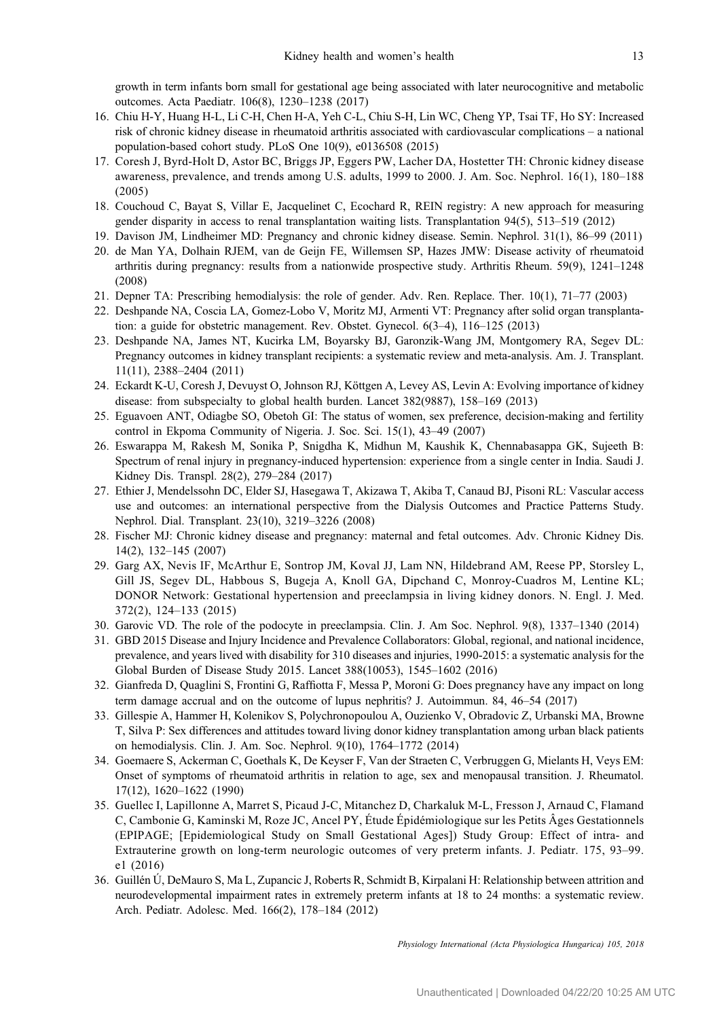<span id="page-12-0"></span>growth in term infants born small for gestational age being associated with later neurocognitive and metabolic outcomes. Acta Paediatr. 106(8), 1230–1238 (2017)

- 16. Chiu H-Y, Huang H-L, Li C-H, Chen H-A, Yeh C-L, Chiu S-H, Lin WC, Cheng YP, Tsai TF, Ho SY: Increased risk of chronic kidney disease in rheumatoid arthritis associated with cardiovascular complications – a national population-based cohort study. PLoS One 10(9), e0136508 (2015)
- 17. Coresh J, Byrd-Holt D, Astor BC, Briggs JP, Eggers PW, Lacher DA, Hostetter TH: Chronic kidney disease awareness, prevalence, and trends among U.S. adults, 1999 to 2000. J. Am. Soc. Nephrol. 16(1), 180–188 (2005)
- 18. Couchoud C, Bayat S, Villar E, Jacquelinet C, Ecochard R, REIN registry: A new approach for measuring gender disparity in access to renal transplantation waiting lists. Transplantation 94(5), 513–519 (2012)
- 19. Davison JM, Lindheimer MD: Pregnancy and chronic kidney disease. Semin. Nephrol. 31(1), 86–99 (2011)
- 20. de Man YA, Dolhain RJEM, van de Geijn FE, Willemsen SP, Hazes JMW: Disease activity of rheumatoid arthritis during pregnancy: results from a nationwide prospective study. Arthritis Rheum. 59(9), 1241–1248 (2008)
- 21. Depner TA: Prescribing hemodialysis: the role of gender. Adv. Ren. Replace. Ther. 10(1), 71–77 (2003)
- 22. Deshpande NA, Coscia LA, Gomez-Lobo V, Moritz MJ, Armenti VT: Pregnancy after solid organ transplantation: a guide for obstetric management. Rev. Obstet. Gynecol. 6(3–4), 116–125 (2013)
- 23. Deshpande NA, James NT, Kucirka LM, Boyarsky BJ, Garonzik-Wang JM, Montgomery RA, Segev DL: Pregnancy outcomes in kidney transplant recipients: a systematic review and meta-analysis. Am. J. Transplant. 11(11), 2388–2404 (2011)
- 24. Eckardt K-U, Coresh J, Devuyst O, Johnson RJ, Köttgen A, Levey AS, Levin A: Evolving importance of kidney disease: from subspecialty to global health burden. Lancet 382(9887), 158–169 (2013)
- 25. Eguavoen ANT, Odiagbe SO, Obetoh GI: The status of women, sex preference, decision-making and fertility control in Ekpoma Community of Nigeria. J. Soc. Sci. 15(1), 43–49 (2007)
- 26. Eswarappa M, Rakesh M, Sonika P, Snigdha K, Midhun M, Kaushik K, Chennabasappa GK, Sujeeth B: Spectrum of renal injury in pregnancy-induced hypertension: experience from a single center in India. Saudi J. Kidney Dis. Transpl. 28(2), 279–284 (2017)
- 27. Ethier J, Mendelssohn DC, Elder SJ, Hasegawa T, Akizawa T, Akiba T, Canaud BJ, Pisoni RL: Vascular access use and outcomes: an international perspective from the Dialysis Outcomes and Practice Patterns Study. Nephrol. Dial. Transplant. 23(10), 3219–3226 (2008)
- 28. Fischer MJ: Chronic kidney disease and pregnancy: maternal and fetal outcomes. Adv. Chronic Kidney Dis. 14(2), 132–145 (2007)
- 29. Garg AX, Nevis IF, McArthur E, Sontrop JM, Koval JJ, Lam NN, Hildebrand AM, Reese PP, Storsley L, Gill JS, Segev DL, Habbous S, Bugeja A, Knoll GA, Dipchand C, Monroy-Cuadros M, Lentine KL; DONOR Network: Gestational hypertension and preeclampsia in living kidney donors. N. Engl. J. Med. 372(2), 124–133 (2015)
- 30. Garovic VD. The role of the podocyte in preeclampsia. Clin. J. Am Soc. Nephrol. 9(8), 1337–1340 (2014)
- 31. GBD 2015 Disease and Injury Incidence and Prevalence Collaborators: Global, regional, and national incidence, prevalence, and years lived with disability for 310 diseases and injuries, 1990-2015: a systematic analysis for the Global Burden of Disease Study 2015. Lancet 388(10053), 1545–1602 (2016)
- 32. Gianfreda D, Quaglini S, Frontini G, Raffiotta F, Messa P, Moroni G: Does pregnancy have any impact on long term damage accrual and on the outcome of lupus nephritis? J. Autoimmun. 84, 46–54 (2017)
- 33. Gillespie A, Hammer H, Kolenikov S, Polychronopoulou A, Ouzienko V, Obradovic Z, Urbanski MA, Browne T, Silva P: Sex differences and attitudes toward living donor kidney transplantation among urban black patients on hemodialysis. Clin. J. Am. Soc. Nephrol. 9(10), 1764–1772 (2014)
- 34. Goemaere S, Ackerman C, Goethals K, De Keyser F, Van der Straeten C, Verbruggen G, Mielants H, Veys EM: Onset of symptoms of rheumatoid arthritis in relation to age, sex and menopausal transition. J. Rheumatol. 17(12), 1620–1622 (1990)
- 35. Guellec I, Lapillonne A, Marret S, Picaud J-C, Mitanchez D, Charkaluk M-L, Fresson J, Arnaud C, Flamand C, Cambonie G, Kaminski M, Roze JC, Ancel PY, Étude Épidémiologique sur les Petits Âges Gestationnels (EPIPAGE; [Epidemiological Study on Small Gestational Ages]) Study Group: Effect of intra- and Extrauterine growth on long-term neurologic outcomes of very preterm infants. J. Pediatr. 175, 93–99. e1 (2016)
- 36. Guillén Ú, DeMauro S, Ma L, Zupancic J, Roberts R, Schmidt B, Kirpalani H: Relationship between attrition and neurodevelopmental impairment rates in extremely preterm infants at 18 to 24 months: a systematic review. Arch. Pediatr. Adolesc. Med. 166(2), 178–184 (2012)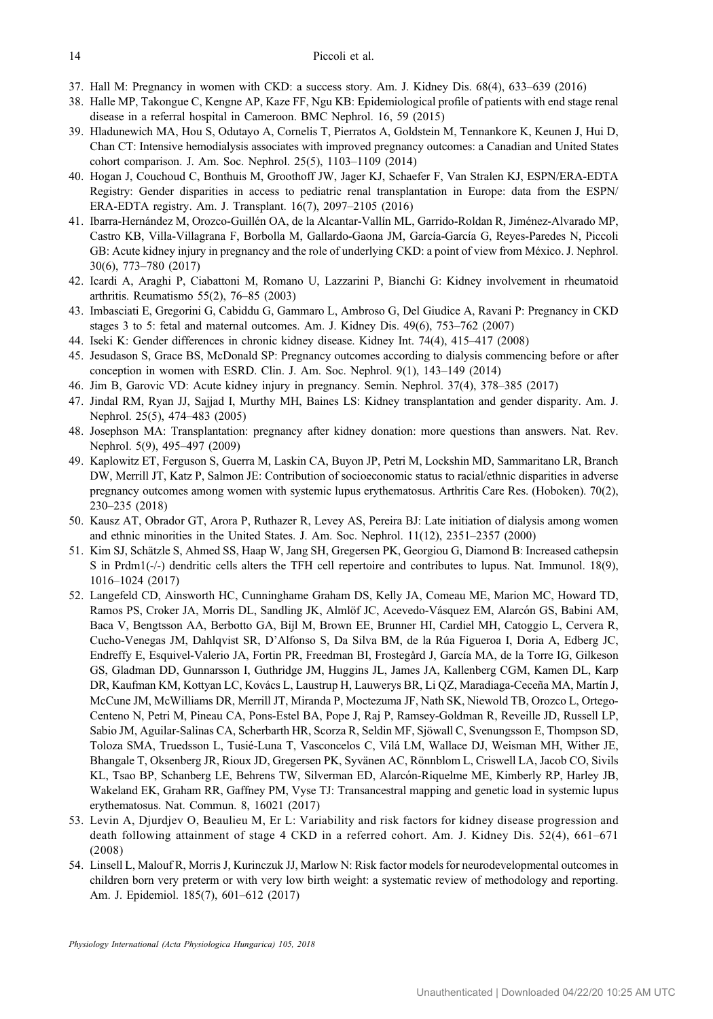- <span id="page-13-0"></span>37. Hall M: Pregnancy in women with CKD: a success story. Am. J. Kidney Dis. 68(4), 633–639 (2016)
- 38. Halle MP, Takongue C, Kengne AP, Kaze FF, Ngu KB: Epidemiological profile of patients with end stage renal disease in a referral hospital in Cameroon. BMC Nephrol. 16, 59 (2015)
- 39. Hladunewich MA, Hou S, Odutayo A, Cornelis T, Pierratos A, Goldstein M, Tennankore K, Keunen J, Hui D, Chan CT: Intensive hemodialysis associates with improved pregnancy outcomes: a Canadian and United States cohort comparison. J. Am. Soc. Nephrol. 25(5), 1103–1109 (2014)
- 40. Hogan J, Couchoud C, Bonthuis M, Groothoff JW, Jager KJ, Schaefer F, Van Stralen KJ, ESPN/ERA-EDTA Registry: Gender disparities in access to pediatric renal transplantation in Europe: data from the ESPN/ ERA-EDTA registry. Am. J. Transplant. 16(7), 2097–2105 (2016)
- 41. Ibarra-Hernández M, Orozco-Guillén OA, de la Alcantar-Vallín ML, Garrido-Roldan R, Jiménez-Alvarado MP, Castro KB, Villa-Villagrana F, Borbolla M, Gallardo-Gaona JM, García-García G, Reyes-Paredes N, Piccoli GB: Acute kidney injury in pregnancy and the role of underlying CKD: a point of view from México. J. Nephrol. 30(6), 773–780 (2017)
- 42. Icardi A, Araghi P, Ciabattoni M, Romano U, Lazzarini P, Bianchi G: Kidney involvement in rheumatoid arthritis. Reumatismo 55(2), 76–85 (2003)
- 43. Imbasciati E, Gregorini G, Cabiddu G, Gammaro L, Ambroso G, Del Giudice A, Ravani P: Pregnancy in CKD stages 3 to 5: fetal and maternal outcomes. Am. J. Kidney Dis. 49(6), 753–762 (2007)
- 44. Iseki K: Gender differences in chronic kidney disease. Kidney Int. 74(4), 415–417 (2008)
- 45. Jesudason S, Grace BS, McDonald SP: Pregnancy outcomes according to dialysis commencing before or after conception in women with ESRD. Clin. J. Am. Soc. Nephrol. 9(1), 143–149 (2014)
- 46. Jim B, Garovic VD: Acute kidney injury in pregnancy. Semin. Nephrol. 37(4), 378–385 (2017)
- 47. Jindal RM, Ryan JJ, Sajjad I, Murthy MH, Baines LS: Kidney transplantation and gender disparity. Am. J. Nephrol. 25(5), 474–483 (2005)
- 48. Josephson MA: Transplantation: pregnancy after kidney donation: more questions than answers. Nat. Rev. Nephrol. 5(9), 495–497 (2009)
- 49. Kaplowitz ET, Ferguson S, Guerra M, Laskin CA, Buyon JP, Petri M, Lockshin MD, Sammaritano LR, Branch DW, Merrill JT, Katz P, Salmon JE: Contribution of socioeconomic status to racial/ethnic disparities in adverse pregnancy outcomes among women with systemic lupus erythematosus. Arthritis Care Res. (Hoboken). 70(2), 230–235 (2018)
- 50. Kausz AT, Obrador GT, Arora P, Ruthazer R, Levey AS, Pereira BJ: Late initiation of dialysis among women and ethnic minorities in the United States. J. Am. Soc. Nephrol. 11(12), 2351–2357 (2000)
- 51. Kim SJ, Schätzle S, Ahmed SS, Haap W, Jang SH, Gregersen PK, Georgiou G, Diamond B: Increased cathepsin S in Prdm1(-/-) dendritic cells alters the TFH cell repertoire and contributes to lupus. Nat. Immunol. 18(9), 1016–1024 (2017)
- 52. Langefeld CD, Ainsworth HC, Cunninghame Graham DS, Kelly JA, Comeau ME, Marion MC, Howard TD, Ramos PS, Croker JA, Morris DL, Sandling JK, Almlöf JC, Acevedo-Vásquez EM, Alarcón GS, Babini AM, Baca V, Bengtsson AA, Berbotto GA, Bijl M, Brown EE, Brunner HI, Cardiel MH, Catoggio L, Cervera R, Cucho-Venegas JM, Dahlqvist SR, D'Alfonso S, Da Silva BM, de la Rúa Figueroa I, Doria A, Edberg JC, Endreffy E, Esquivel-Valerio JA, Fortin PR, Freedman BI, Frostegård J, García MA, de la Torre IG, Gilkeson GS, Gladman DD, Gunnarsson I, Guthridge JM, Huggins JL, James JA, Kallenberg CGM, Kamen DL, Karp DR, Kaufman KM, Kottyan LC, Kovács L, Laustrup H, Lauwerys BR, Li OZ, Maradiaga-Ceceña MA, Martín J, McCune JM, McWilliams DR, Merrill JT, Miranda P, Moctezuma JF, Nath SK, Niewold TB, Orozco L, Ortego-Centeno N, Petri M, Pineau CA, Pons-Estel BA, Pope J, Raj P, Ramsey-Goldman R, Reveille JD, Russell LP, Sabio JM, Aguilar-Salinas CA, Scherbarth HR, Scorza R, Seldin MF, Sjöwall C, Svenungsson E, Thompson SD, Toloza SMA, Truedsson L, Tusié-Luna T, Vasconcelos C, Vilá LM, Wallace DJ, Weisman MH, Wither JE, Bhangale T, Oksenberg JR, Rioux JD, Gregersen PK, Syvänen AC, Rönnblom L, Criswell LA, Jacob CO, Sivils KL, Tsao BP, Schanberg LE, Behrens TW, Silverman ED, Alarcón-Riquelme ME, Kimberly RP, Harley JB, Wakeland EK, Graham RR, Gaffney PM, Vyse TJ: Transancestral mapping and genetic load in systemic lupus erythematosus. Nat. Commun. 8, 16021 (2017)
- 53. Levin A, Djurdjev O, Beaulieu M, Er L: Variability and risk factors for kidney disease progression and death following attainment of stage 4 CKD in a referred cohort. Am. J. Kidney Dis. 52(4), 661–671 (2008)
- 54. Linsell L, Malouf R, Morris J, Kurinczuk JJ, Marlow N: Risk factor models for neurodevelopmental outcomes in children born very preterm or with very low birth weight: a systematic review of methodology and reporting. Am. J. Epidemiol. 185(7), 601–612 (2017)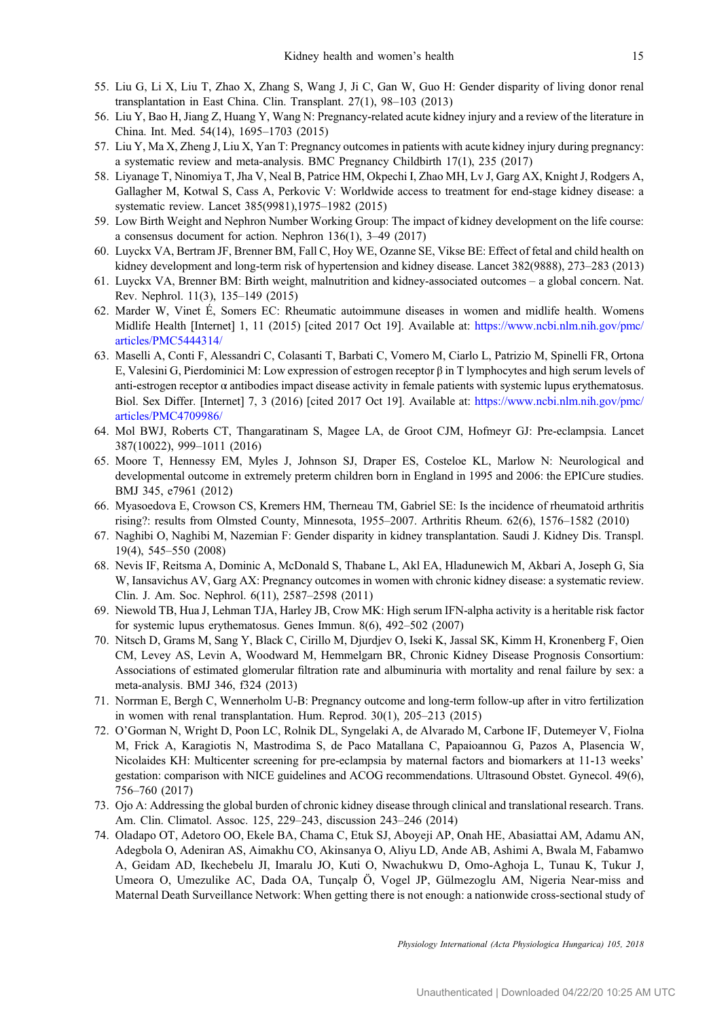- <span id="page-14-0"></span>55. Liu G, Li X, Liu T, Zhao X, Zhang S, Wang J, Ji C, Gan W, Guo H: Gender disparity of living donor renal transplantation in East China. Clin. Transplant. 27(1), 98–103 (2013)
- 56. Liu Y, Bao H, Jiang Z, Huang Y, Wang N: Pregnancy-related acute kidney injury and a review of the literature in China. Int. Med. 54(14), 1695–1703 (2015)
- 57. Liu Y, Ma X, Zheng J, Liu X, Yan T: Pregnancy outcomes in patients with acute kidney injury during pregnancy: a systematic review and meta-analysis. BMC Pregnancy Childbirth 17(1), 235 (2017)
- 58. Liyanage T, Ninomiya T, Jha V, Neal B, Patrice HM, Okpechi I, Zhao MH, Lv J, Garg AX, Knight J, Rodgers A, Gallagher M, Kotwal S, Cass A, Perkovic V: Worldwide access to treatment for end-stage kidney disease: a systematic review. Lancet 385(9981),1975–1982 (2015)
- 59. Low Birth Weight and Nephron Number Working Group: The impact of kidney development on the life course: a consensus document for action. Nephron 136(1), 3–49 (2017)
- 60. Luyckx VA, Bertram JF, Brenner BM, Fall C, Hoy WE, Ozanne SE, Vikse BE: Effect of fetal and child health on kidney development and long-term risk of hypertension and kidney disease. Lancet 382(9888), 273–283 (2013)
- 61. Luyckx VA, Brenner BM: Birth weight, malnutrition and kidney-associated outcomes a global concern. Nat. Rev. Nephrol. 11(3), 135–149 (2015)
- 62. Marder W, Vinet É, Somers EC: Rheumatic autoimmune diseases in women and midlife health. Womens Midlife Health [Internet] 1, 11 (2015) [cited 2017 Oct 19]. Available at: [https://www.ncbi.nlm.nih.gov/pmc/](https://www.ncbi.nlm.nih.gov/pmc/articles/PMC5444314/) [articles/PMC5444314/](https://www.ncbi.nlm.nih.gov/pmc/articles/PMC5444314/)
- 63. Maselli A, Conti F, Alessandri C, Colasanti T, Barbati C, Vomero M, Ciarlo L, Patrizio M, Spinelli FR, Ortona E, Valesini G, Pierdominici M: Low expression of estrogen receptor β in T lymphocytes and high serum levels of anti-estrogen receptor  $\alpha$  antibodies impact disease activity in female patients with systemic lupus erythematosus. Biol. Sex Differ. [Internet] 7, 3 (2016) [cited 2017 Oct 19]. Available at: [https://www.ncbi.nlm.nih.gov/pmc/](https://www.ncbi.nlm.nih.gov/pmc/articles/PMC4709986/) [articles/PMC4709986/](https://www.ncbi.nlm.nih.gov/pmc/articles/PMC4709986/)
- 64. Mol BWJ, Roberts CT, Thangaratinam S, Magee LA, de Groot CJM, Hofmeyr GJ: Pre-eclampsia. Lancet 387(10022), 999–1011 (2016)
- 65. Moore T, Hennessy EM, Myles J, Johnson SJ, Draper ES, Costeloe KL, Marlow N: Neurological and developmental outcome in extremely preterm children born in England in 1995 and 2006: the EPICure studies. BMJ 345, e7961 (2012)
- 66. Myasoedova E, Crowson CS, Kremers HM, Therneau TM, Gabriel SE: Is the incidence of rheumatoid arthritis rising?: results from Olmsted County, Minnesota, 1955–2007. Arthritis Rheum. 62(6), 1576–1582 (2010)
- 67. Naghibi O, Naghibi M, Nazemian F: Gender disparity in kidney transplantation. Saudi J. Kidney Dis. Transpl. 19(4), 545–550 (2008)
- 68. Nevis IF, Reitsma A, Dominic A, McDonald S, Thabane L, Akl EA, Hladunewich M, Akbari A, Joseph G, Sia W, Iansavichus AV, Garg AX: Pregnancy outcomes in women with chronic kidney disease: a systematic review. Clin. J. Am. Soc. Nephrol. 6(11), 2587–2598 (2011)
- 69. Niewold TB, Hua J, Lehman TJA, Harley JB, Crow MK: High serum IFN-alpha activity is a heritable risk factor for systemic lupus erythematosus. Genes Immun. 8(6), 492–502 (2007)
- 70. Nitsch D, Grams M, Sang Y, Black C, Cirillo M, Djurdjev O, Iseki K, Jassal SK, Kimm H, Kronenberg F, Oien CM, Levey AS, Levin A, Woodward M, Hemmelgarn BR, Chronic Kidney Disease Prognosis Consortium: Associations of estimated glomerular filtration rate and albuminuria with mortality and renal failure by sex: a meta-analysis. BMJ 346, f324 (2013)
- 71. Norrman E, Bergh C, Wennerholm U-B: Pregnancy outcome and long-term follow-up after in vitro fertilization in women with renal transplantation. Hum. Reprod. 30(1), 205–213 (2015)
- 72. O'Gorman N, Wright D, Poon LC, Rolnik DL, Syngelaki A, de Alvarado M, Carbone IF, Dutemeyer V, Fiolna M, Frick A, Karagiotis N, Mastrodima S, de Paco Matallana C, Papaioannou G, Pazos A, Plasencia W, Nicolaides KH: Multicenter screening for pre-eclampsia by maternal factors and biomarkers at 11-13 weeks' gestation: comparison with NICE guidelines and ACOG recommendations. Ultrasound Obstet. Gynecol. 49(6), 756–760 (2017)
- 73. Ojo A: Addressing the global burden of chronic kidney disease through clinical and translational research. Trans. Am. Clin. Climatol. Assoc. 125, 229–243, discussion 243–246 (2014)
- 74. Oladapo OT, Adetoro OO, Ekele BA, Chama C, Etuk SJ, Aboyeji AP, Onah HE, Abasiattai AM, Adamu AN, Adegbola O, Adeniran AS, Aimakhu CO, Akinsanya O, Aliyu LD, Ande AB, Ashimi A, Bwala M, Fabamwo A, Geidam AD, Ikechebelu JI, Imaralu JO, Kuti O, Nwachukwu D, Omo-Aghoja L, Tunau K, Tukur J, Umeora O, Umezulike AC, Dada OA, Tunçalp Ö, Vogel JP, Gülmezoglu AM, Nigeria Near-miss and Maternal Death Surveillance Network: When getting there is not enough: a nationwide cross-sectional study of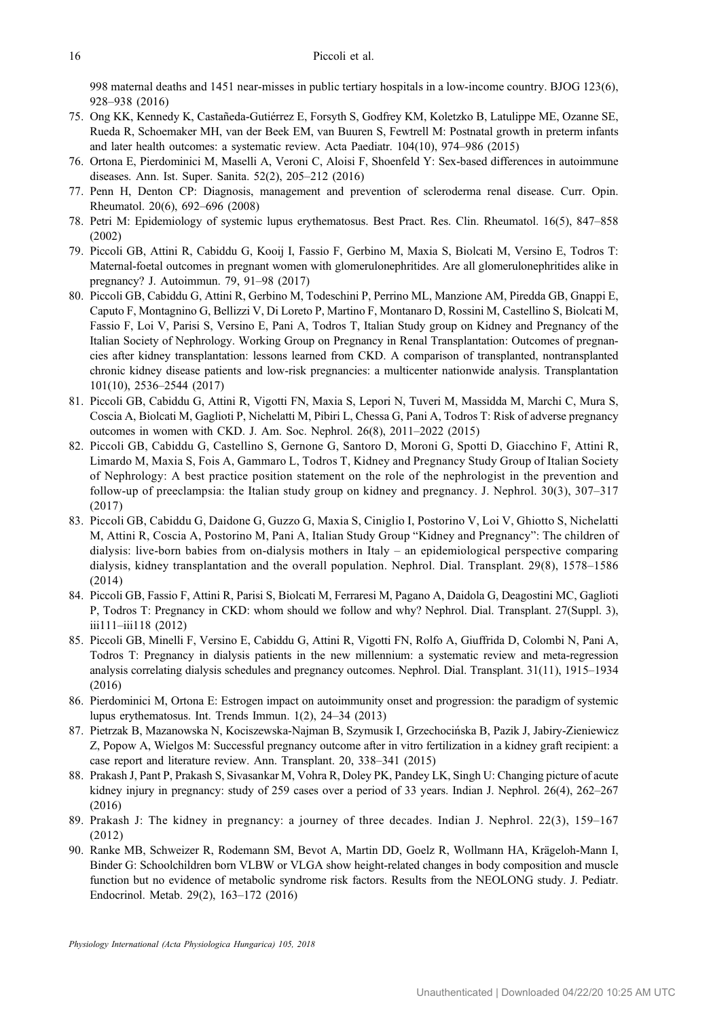<span id="page-15-0"></span>998 maternal deaths and 1451 near-misses in public tertiary hospitals in a low-income country. BJOG 123(6), 928–938 (2016)

- 75. Ong KK, Kennedy K, Castaneda-Gutiérrez E, Forsyth S, Godfrey KM, Koletzko B, Latulippe ME, Ozanne SE, ˜ Rueda R, Schoemaker MH, van der Beek EM, van Buuren S, Fewtrell M: Postnatal growth in preterm infants and later health outcomes: a systematic review. Acta Paediatr. 104(10), 974–986 (2015)
- 76. Ortona E, Pierdominici M, Maselli A, Veroni C, Aloisi F, Shoenfeld Y: Sex-based differences in autoimmune diseases. Ann. Ist. Super. Sanita. 52(2), 205–212 (2016)
- 77. Penn H, Denton CP: Diagnosis, management and prevention of scleroderma renal disease. Curr. Opin. Rheumatol. 20(6), 692–696 (2008)
- 78. Petri M: Epidemiology of systemic lupus erythematosus. Best Pract. Res. Clin. Rheumatol. 16(5), 847–858 (2002)
- 79. Piccoli GB, Attini R, Cabiddu G, Kooij I, Fassio F, Gerbino M, Maxia S, Biolcati M, Versino E, Todros T: Maternal-foetal outcomes in pregnant women with glomerulonephritides. Are all glomerulonephritides alike in pregnancy? J. Autoimmun. 79, 91–98 (2017)
- 80. Piccoli GB, Cabiddu G, Attini R, Gerbino M, Todeschini P, Perrino ML, Manzione AM, Piredda GB, Gnappi E, Caputo F, Montagnino G, Bellizzi V, Di Loreto P, Martino F, Montanaro D, Rossini M, Castellino S, Biolcati M, Fassio F, Loi V, Parisi S, Versino E, Pani A, Todros T, Italian Study group on Kidney and Pregnancy of the Italian Society of Nephrology. Working Group on Pregnancy in Renal Transplantation: Outcomes of pregnancies after kidney transplantation: lessons learned from CKD. A comparison of transplanted, nontransplanted chronic kidney disease patients and low-risk pregnancies: a multicenter nationwide analysis. Transplantation 101(10), 2536–2544 (2017)
- 81. Piccoli GB, Cabiddu G, Attini R, Vigotti FN, Maxia S, Lepori N, Tuveri M, Massidda M, Marchi C, Mura S, Coscia A, Biolcati M, Gaglioti P, Nichelatti M, Pibiri L, Chessa G, Pani A, Todros T: Risk of adverse pregnancy outcomes in women with CKD. J. Am. Soc. Nephrol. 26(8), 2011–2022 (2015)
- 82. Piccoli GB, Cabiddu G, Castellino S, Gernone G, Santoro D, Moroni G, Spotti D, Giacchino F, Attini R, Limardo M, Maxia S, Fois A, Gammaro L, Todros T, Kidney and Pregnancy Study Group of Italian Society of Nephrology: A best practice position statement on the role of the nephrologist in the prevention and follow-up of preeclampsia: the Italian study group on kidney and pregnancy. J. Nephrol. 30(3), 307–317 (2017)
- 83. Piccoli GB, Cabiddu G, Daidone G, Guzzo G, Maxia S, Ciniglio I, Postorino V, Loi V, Ghiotto S, Nichelatti M, Attini R, Coscia A, Postorino M, Pani A, Italian Study Group "Kidney and Pregnancy": The children of dialysis: live-born babies from on-dialysis mothers in Italy – an epidemiological perspective comparing dialysis, kidney transplantation and the overall population. Nephrol. Dial. Transplant. 29(8), 1578–1586 (2014)
- 84. Piccoli GB, Fassio F, Attini R, Parisi S, Biolcati M, Ferraresi M, Pagano A, Daidola G, Deagostini MC, Gaglioti P, Todros T: Pregnancy in CKD: whom should we follow and why? Nephrol. Dial. Transplant. 27(Suppl. 3), iii111–iii118 (2012)
- 85. Piccoli GB, Minelli F, Versino E, Cabiddu G, Attini R, Vigotti FN, Rolfo A, Giuffrida D, Colombi N, Pani A, Todros T: Pregnancy in dialysis patients in the new millennium: a systematic review and meta-regression analysis correlating dialysis schedules and pregnancy outcomes. Nephrol. Dial. Transplant. 31(11), 1915–1934 (2016)
- 86. Pierdominici M, Ortona E: Estrogen impact on autoimmunity onset and progression: the paradigm of systemic lupus erythematosus. Int. Trends Immun. 1(2), 24–34 (2013)
- 87. Pietrzak B, Mazanowska N, Kociszewska-Najman B, Szymusik I, Grzechocińska B, Pazik J, Jabiry-Zieniewicz Z, Popow A, Wielgos M: Successful pregnancy outcome after in vitro fertilization in a kidney graft recipient: a case report and literature review. Ann. Transplant. 20, 338–341 (2015)
- 88. Prakash J, Pant P, Prakash S, Sivasankar M, Vohra R, Doley PK, Pandey LK, Singh U: Changing picture of acute kidney injury in pregnancy: study of 259 cases over a period of 33 years. Indian J. Nephrol. 26(4), 262–267 (2016)
- 89. Prakash J: The kidney in pregnancy: a journey of three decades. Indian J. Nephrol. 22(3), 159–167 (2012)
- 90. Ranke MB, Schweizer R, Rodemann SM, Bevot A, Martin DD, Goelz R, Wollmann HA, Krägeloh-Mann I, Binder G: Schoolchildren born VLBW or VLGA show height-related changes in body composition and muscle function but no evidence of metabolic syndrome risk factors. Results from the NEOLONG study. J. Pediatr. Endocrinol. Metab. 29(2), 163–172 (2016)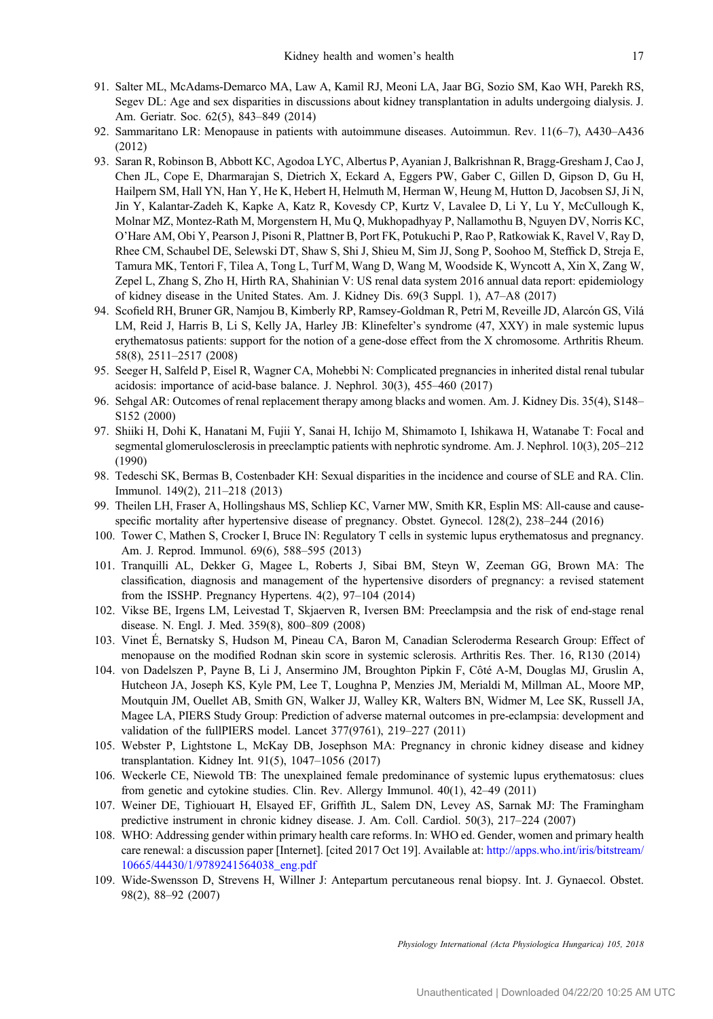- <span id="page-16-0"></span>91. Salter ML, McAdams-Demarco MA, Law A, Kamil RJ, Meoni LA, Jaar BG, Sozio SM, Kao WH, Parekh RS, Segev DL: Age and sex disparities in discussions about kidney transplantation in adults undergoing dialysis. J. Am. Geriatr. Soc. 62(5), 843–849 (2014)
- 92. Sammaritano LR: Menopause in patients with autoimmune diseases. Autoimmun. Rev. 11(6–7), A430–A436 (2012)
- 93. Saran R, Robinson B, Abbott KC, Agodoa LYC, Albertus P, Ayanian J, Balkrishnan R, Bragg-Gresham J, Cao J, Chen JL, Cope E, Dharmarajan S, Dietrich X, Eckard A, Eggers PW, Gaber C, Gillen D, Gipson D, Gu H, Hailpern SM, Hall YN, Han Y, He K, Hebert H, Helmuth M, Herman W, Heung M, Hutton D, Jacobsen SJ, Ji N, Jin Y, Kalantar-Zadeh K, Kapke A, Katz R, Kovesdy CP, Kurtz V, Lavalee D, Li Y, Lu Y, McCullough K, Molnar MZ, Montez-Rath M, Morgenstern H, Mu Q, Mukhopadhyay P, Nallamothu B, Nguyen DV, Norris KC, O'Hare AM, Obi Y, Pearson J, Pisoni R, Plattner B, Port FK, Potukuchi P, Rao P, Ratkowiak K, Ravel V, Ray D, Rhee CM, Schaubel DE, Selewski DT, Shaw S, Shi J, Shieu M, Sim JJ, Song P, Soohoo M, Steffick D, Streja E, Tamura MK, Tentori F, Tilea A, Tong L, Turf M, Wang D, Wang M, Woodside K, Wyncott A, Xin X, Zang W, Zepel L, Zhang S, Zho H, Hirth RA, Shahinian V: US renal data system 2016 annual data report: epidemiology of kidney disease in the United States. Am. J. Kidney Dis. 69(3 Suppl. 1), A7–A8 (2017)
- 94. Scofield RH, Bruner GR, Namjou B, Kimberly RP, Ramsey-Goldman R, Petri M, Reveille JD, Alarcón GS, Vilá LM, Reid J, Harris B, Li S, Kelly JA, Harley JB: Klinefelter's syndrome (47, XXY) in male systemic lupus erythematosus patients: support for the notion of a gene-dose effect from the X chromosome. Arthritis Rheum. 58(8), 2511–2517 (2008)
- 95. Seeger H, Salfeld P, Eisel R, Wagner CA, Mohebbi N: Complicated pregnancies in inherited distal renal tubular acidosis: importance of acid-base balance. J. Nephrol. 30(3), 455–460 (2017)
- 96. Sehgal AR: Outcomes of renal replacement therapy among blacks and women. Am. J. Kidney Dis. 35(4), S148– S152 (2000)
- 97. Shiiki H, Dohi K, Hanatani M, Fujii Y, Sanai H, Ichijo M, Shimamoto I, Ishikawa H, Watanabe T: Focal and segmental glomerulosclerosis in preeclamptic patients with nephrotic syndrome. Am. J. Nephrol. 10(3), 205–212 (1990)
- 98. Tedeschi SK, Bermas B, Costenbader KH: Sexual disparities in the incidence and course of SLE and RA. Clin. Immunol. 149(2), 211–218 (2013)
- 99. Theilen LH, Fraser A, Hollingshaus MS, Schliep KC, Varner MW, Smith KR, Esplin MS: All-cause and causespecific mortality after hypertensive disease of pregnancy. Obstet. Gynecol. 128(2), 238–244 (2016)
- 100. Tower C, Mathen S, Crocker I, Bruce IN: Regulatory T cells in systemic lupus erythematosus and pregnancy. Am. J. Reprod. Immunol. 69(6), 588–595 (2013)
- 101. Tranquilli AL, Dekker G, Magee L, Roberts J, Sibai BM, Steyn W, Zeeman GG, Brown MA: The classification, diagnosis and management of the hypertensive disorders of pregnancy: a revised statement from the ISSHP. Pregnancy Hypertens. 4(2), 97–104 (2014)
- 102. Vikse BE, Irgens LM, Leivestad T, Skjaerven R, Iversen BM: Preeclampsia and the risk of end-stage renal disease. N. Engl. J. Med. 359(8), 800–809 (2008)
- 103. Vinet É, Bernatsky S, Hudson M, Pineau CA, Baron M, Canadian Scleroderma Research Group: Effect of menopause on the modified Rodnan skin score in systemic sclerosis. Arthritis Res. Ther. 16, R130 (2014)
- 104. von Dadelszen P, Payne B, Li J, Ansermino JM, Broughton Pipkin F, Côté A-M, Douglas MJ, Gruslin A, Hutcheon JA, Joseph KS, Kyle PM, Lee T, Loughna P, Menzies JM, Merialdi M, Millman AL, Moore MP, Moutquin JM, Ouellet AB, Smith GN, Walker JJ, Walley KR, Walters BN, Widmer M, Lee SK, Russell JA, Magee LA, PIERS Study Group: Prediction of adverse maternal outcomes in pre-eclampsia: development and validation of the fullPIERS model. Lancet 377(9761), 219–227 (2011)
- 105. Webster P, Lightstone L, McKay DB, Josephson MA: Pregnancy in chronic kidney disease and kidney transplantation. Kidney Int. 91(5), 1047–1056 (2017)
- 106. Weckerle CE, Niewold TB: The unexplained female predominance of systemic lupus erythematosus: clues from genetic and cytokine studies. Clin. Rev. Allergy Immunol. 40(1), 42–49 (2011)
- 107. Weiner DE, Tighiouart H, Elsayed EF, Griffith JL, Salem DN, Levey AS, Sarnak MJ: The Framingham predictive instrument in chronic kidney disease. J. Am. Coll. Cardiol. 50(3), 217–224 (2007)
- 108. WHO: Addressing gender within primary health care reforms. In: WHO ed. Gender, women and primary health care renewal: a discussion paper [Internet]. [cited 2017 Oct 19]. Available at: [http://apps.who.int/iris/bitstream/](http://apps.who.int/iris/bitstream/10665/44430/1/9789241564038_eng.pdf) [10665/44430/1/9789241564038\\_eng.pdf](http://apps.who.int/iris/bitstream/10665/44430/1/9789241564038_eng.pdf)
- 109. Wide-Swensson D, Strevens H, Willner J: Antepartum percutaneous renal biopsy. Int. J. Gynaecol. Obstet. 98(2), 88–92 (2007)